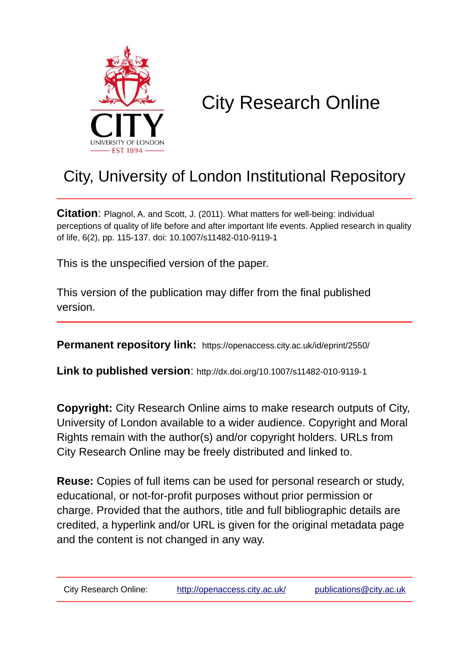

# City Research Online

# City, University of London Institutional Repository

**Citation**: Plagnol, A. and Scott, J. (2011). What matters for well-being: individual perceptions of quality of life before and after important life events. Applied research in quality of life, 6(2), pp. 115-137. doi: 10.1007/s11482-010-9119-1

This is the unspecified version of the paper.

This version of the publication may differ from the final published version.

**Permanent repository link:** https://openaccess.city.ac.uk/id/eprint/2550/

**Link to published version**: http://dx.doi.org/10.1007/s11482-010-9119-1

**Copyright:** City Research Online aims to make research outputs of City, University of London available to a wider audience. Copyright and Moral Rights remain with the author(s) and/or copyright holders. URLs from City Research Online may be freely distributed and linked to.

**Reuse:** Copies of full items can be used for personal research or study, educational, or not-for-profit purposes without prior permission or charge. Provided that the authors, title and full bibliographic details are credited, a hyperlink and/or URL is given for the original metadata page and the content is not changed in any way.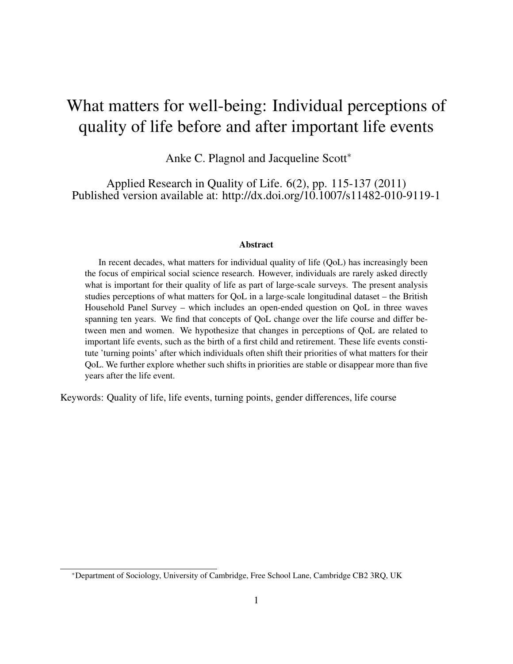# What matters for well-being: Individual perceptions of quality of life before and after important life events

Anke C. Plagnol and Jacqueline Scott<sup>\*</sup>

Applied Research in Quality of Life. 6(2), pp. 115-137 (2011) Published version available at: http://dx.doi.org/10.1007/s11482-010-9119-1

#### Abstract

In recent decades, what matters for individual quality of life (QoL) has increasingly been the focus of empirical social science research. However, individuals are rarely asked directly what is important for their quality of life as part of large-scale surveys. The present analysis studies perceptions of what matters for QoL in a large-scale longitudinal dataset – the British Household Panel Survey – which includes an open-ended question on QoL in three waves spanning ten years. We find that concepts of QoL change over the life course and differ between men and women. We hypothesize that changes in perceptions of QoL are related to important life events, such as the birth of a first child and retirement. These life events constitute 'turning points' after which individuals often shift their priorities of what matters for their QoL. We further explore whether such shifts in priorities are stable or disappear more than five years after the life event.

Keywords: Quality of life, life events, turning points, gender differences, life course

<sup>∗</sup>Department of Sociology, University of Cambridge, Free School Lane, Cambridge CB2 3RQ, UK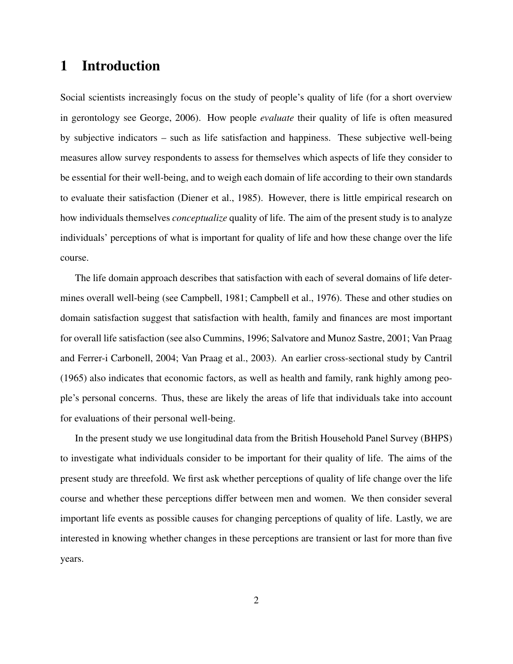## 1 Introduction

Social scientists increasingly focus on the study of people's quality of life (for a short overview in gerontology see George, 2006). How people *evaluate* their quality of life is often measured by subjective indicators – such as life satisfaction and happiness. These subjective well-being measures allow survey respondents to assess for themselves which aspects of life they consider to be essential for their well-being, and to weigh each domain of life according to their own standards to evaluate their satisfaction (Diener et al., 1985). However, there is little empirical research on how individuals themselves *conceptualize* quality of life. The aim of the present study is to analyze individuals' perceptions of what is important for quality of life and how these change over the life course.

The life domain approach describes that satisfaction with each of several domains of life determines overall well-being (see Campbell, 1981; Campbell et al., 1976). These and other studies on domain satisfaction suggest that satisfaction with health, family and finances are most important for overall life satisfaction (see also Cummins, 1996; Salvatore and Munoz Sastre, 2001; Van Praag and Ferrer-i Carbonell, 2004; Van Praag et al., 2003). An earlier cross-sectional study by Cantril (1965) also indicates that economic factors, as well as health and family, rank highly among people's personal concerns. Thus, these are likely the areas of life that individuals take into account for evaluations of their personal well-being.

In the present study we use longitudinal data from the British Household Panel Survey (BHPS) to investigate what individuals consider to be important for their quality of life. The aims of the present study are threefold. We first ask whether perceptions of quality of life change over the life course and whether these perceptions differ between men and women. We then consider several important life events as possible causes for changing perceptions of quality of life. Lastly, we are interested in knowing whether changes in these perceptions are transient or last for more than five years.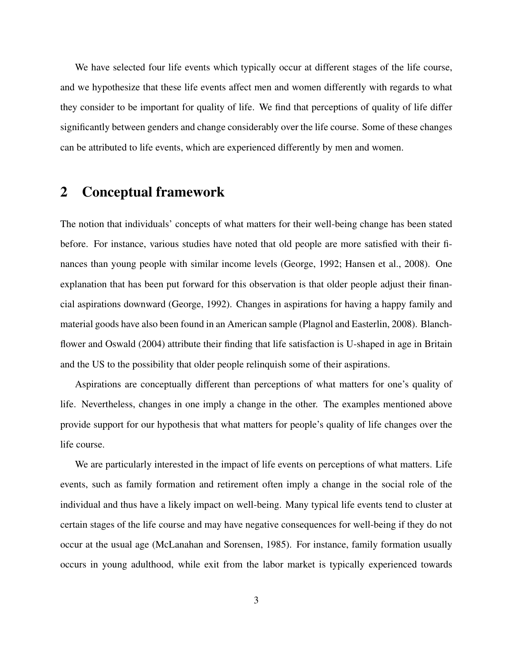We have selected four life events which typically occur at different stages of the life course, and we hypothesize that these life events affect men and women differently with regards to what they consider to be important for quality of life. We find that perceptions of quality of life differ significantly between genders and change considerably over the life course. Some of these changes can be attributed to life events, which are experienced differently by men and women.

## 2 Conceptual framework

The notion that individuals' concepts of what matters for their well-being change has been stated before. For instance, various studies have noted that old people are more satisfied with their finances than young people with similar income levels (George, 1992; Hansen et al., 2008). One explanation that has been put forward for this observation is that older people adjust their financial aspirations downward (George, 1992). Changes in aspirations for having a happy family and material goods have also been found in an American sample (Plagnol and Easterlin, 2008). Blanchflower and Oswald (2004) attribute their finding that life satisfaction is U-shaped in age in Britain and the US to the possibility that older people relinquish some of their aspirations.

Aspirations are conceptually different than perceptions of what matters for one's quality of life. Nevertheless, changes in one imply a change in the other. The examples mentioned above provide support for our hypothesis that what matters for people's quality of life changes over the life course.

We are particularly interested in the impact of life events on perceptions of what matters. Life events, such as family formation and retirement often imply a change in the social role of the individual and thus have a likely impact on well-being. Many typical life events tend to cluster at certain stages of the life course and may have negative consequences for well-being if they do not occur at the usual age (McLanahan and Sorensen, 1985). For instance, family formation usually occurs in young adulthood, while exit from the labor market is typically experienced towards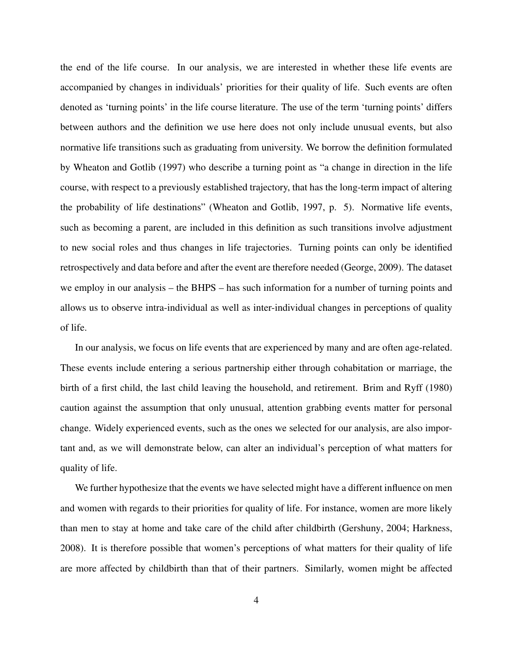the end of the life course. In our analysis, we are interested in whether these life events are accompanied by changes in individuals' priorities for their quality of life. Such events are often denoted as 'turning points' in the life course literature. The use of the term 'turning points' differs between authors and the definition we use here does not only include unusual events, but also normative life transitions such as graduating from university. We borrow the definition formulated by Wheaton and Gotlib (1997) who describe a turning point as "a change in direction in the life course, with respect to a previously established trajectory, that has the long-term impact of altering the probability of life destinations" (Wheaton and Gotlib, 1997, p. 5). Normative life events, such as becoming a parent, are included in this definition as such transitions involve adjustment to new social roles and thus changes in life trajectories. Turning points can only be identified retrospectively and data before and after the event are therefore needed (George, 2009). The dataset we employ in our analysis – the BHPS – has such information for a number of turning points and allows us to observe intra-individual as well as inter-individual changes in perceptions of quality of life.

In our analysis, we focus on life events that are experienced by many and are often age-related. These events include entering a serious partnership either through cohabitation or marriage, the birth of a first child, the last child leaving the household, and retirement. Brim and Ryff (1980) caution against the assumption that only unusual, attention grabbing events matter for personal change. Widely experienced events, such as the ones we selected for our analysis, are also important and, as we will demonstrate below, can alter an individual's perception of what matters for quality of life.

We further hypothesize that the events we have selected might have a different influence on men and women with regards to their priorities for quality of life. For instance, women are more likely than men to stay at home and take care of the child after childbirth (Gershuny, 2004; Harkness, 2008). It is therefore possible that women's perceptions of what matters for their quality of life are more affected by childbirth than that of their partners. Similarly, women might be affected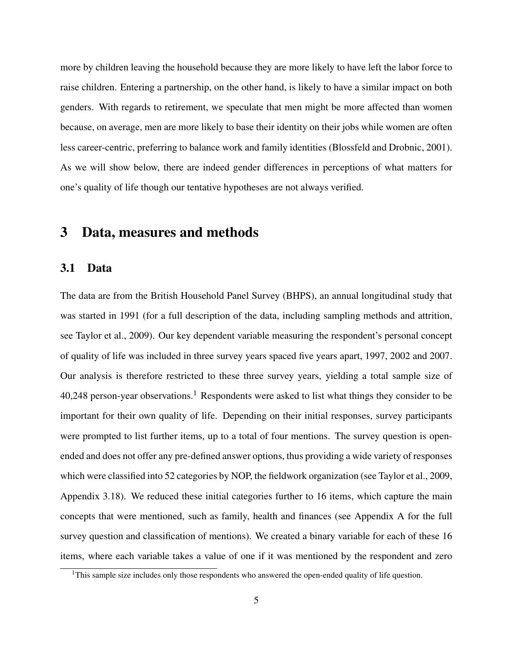more by children leaving the household because they are more likely to have left the labor force to raise children. Entering a partnership, on the other hand, is likely to have a similar impact on both genders. With regards to retirement, we speculate that men might be more affected than women because, on average, men are more likely to base their identity on their jobs while women are often less career-centric, preferring to balance work and family identities (Blossfeld and Drobnic, 2001). As we will show below, there are indeed gender differences in perceptions of what matters for one's quality of life though our tentative hypotheses are not always verified.

## 3 Data, measures and methods

#### 3.1 Data

The data are from the British Household Panel Survey (BHPS), an annual longitudinal study that was started in 1991 (for a full description of the data, including sampling methods and attrition, see Taylor et al., 2009). Our key dependent variable measuring the respondent's personal concept of quality of life was included in three survey years spaced five years apart, 1997, 2002 and 2007. Our analysis is therefore restricted to these three survey years, yielding a total sample size of 40,248 person-year observations.<sup>1</sup> Respondents were asked to list what things they consider to be important for their own quality of life. Depending on their initial responses, survey participants were prompted to list further items, up to a total of four mentions. The survey question is openended and does not offer any pre-defined answer options, thus providing a wide variety of responses which were classified into 52 categories by NOP, the fieldwork organization (see Taylor et al., 2009, Appendix 3.18). We reduced these initial categories further to 16 items, which capture the main concepts that were mentioned, such as family, health and finances (see Appendix A for the full survey question and classification of mentions). We created a binary variable for each of these 16 items, where each variable takes a value of one if it was mentioned by the respondent and zero

<sup>&</sup>lt;sup>1</sup>This sample size includes only those respondents who answered the open-ended quality of life question.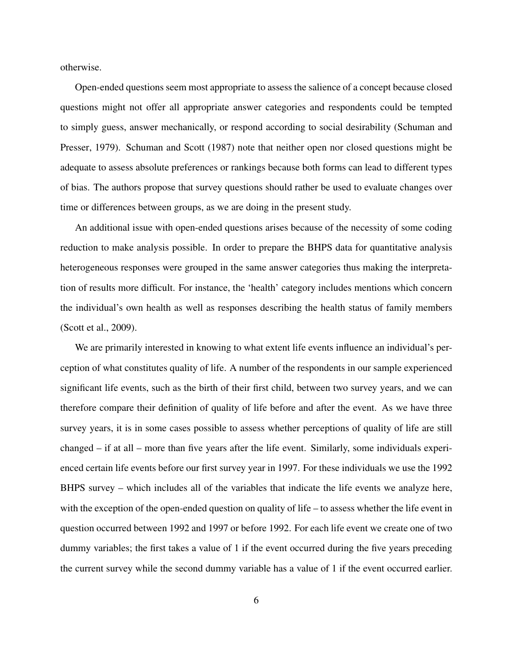otherwise.

Open-ended questions seem most appropriate to assess the salience of a concept because closed questions might not offer all appropriate answer categories and respondents could be tempted to simply guess, answer mechanically, or respond according to social desirability (Schuman and Presser, 1979). Schuman and Scott (1987) note that neither open nor closed questions might be adequate to assess absolute preferences or rankings because both forms can lead to different types of bias. The authors propose that survey questions should rather be used to evaluate changes over time or differences between groups, as we are doing in the present study.

An additional issue with open-ended questions arises because of the necessity of some coding reduction to make analysis possible. In order to prepare the BHPS data for quantitative analysis heterogeneous responses were grouped in the same answer categories thus making the interpretation of results more difficult. For instance, the 'health' category includes mentions which concern the individual's own health as well as responses describing the health status of family members (Scott et al., 2009).

We are primarily interested in knowing to what extent life events influence an individual's perception of what constitutes quality of life. A number of the respondents in our sample experienced significant life events, such as the birth of their first child, between two survey years, and we can therefore compare their definition of quality of life before and after the event. As we have three survey years, it is in some cases possible to assess whether perceptions of quality of life are still changed – if at all – more than five years after the life event. Similarly, some individuals experienced certain life events before our first survey year in 1997. For these individuals we use the 1992 BHPS survey – which includes all of the variables that indicate the life events we analyze here, with the exception of the open-ended question on quality of life – to assess whether the life event in question occurred between 1992 and 1997 or before 1992. For each life event we create one of two dummy variables; the first takes a value of 1 if the event occurred during the five years preceding the current survey while the second dummy variable has a value of 1 if the event occurred earlier.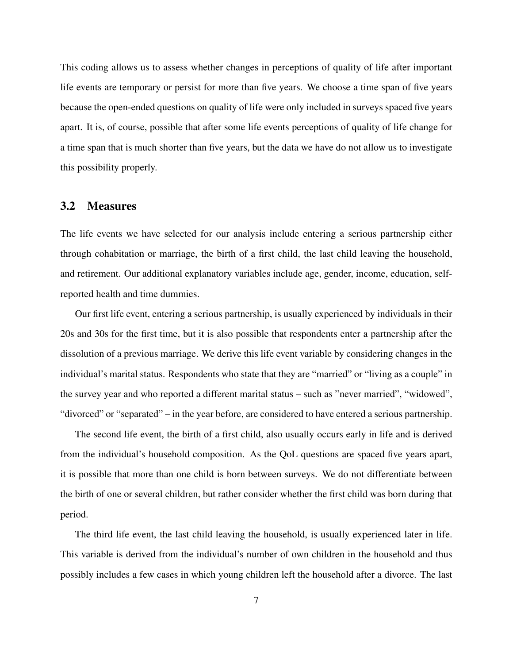This coding allows us to assess whether changes in perceptions of quality of life after important life events are temporary or persist for more than five years. We choose a time span of five years because the open-ended questions on quality of life were only included in surveys spaced five years apart. It is, of course, possible that after some life events perceptions of quality of life change for a time span that is much shorter than five years, but the data we have do not allow us to investigate this possibility properly.

#### 3.2 Measures

The life events we have selected for our analysis include entering a serious partnership either through cohabitation or marriage, the birth of a first child, the last child leaving the household, and retirement. Our additional explanatory variables include age, gender, income, education, selfreported health and time dummies.

Our first life event, entering a serious partnership, is usually experienced by individuals in their 20s and 30s for the first time, but it is also possible that respondents enter a partnership after the dissolution of a previous marriage. We derive this life event variable by considering changes in the individual's marital status. Respondents who state that they are "married" or "living as a couple" in the survey year and who reported a different marital status – such as "never married", "widowed", "divorced" or "separated" – in the year before, are considered to have entered a serious partnership.

The second life event, the birth of a first child, also usually occurs early in life and is derived from the individual's household composition. As the QoL questions are spaced five years apart, it is possible that more than one child is born between surveys. We do not differentiate between the birth of one or several children, but rather consider whether the first child was born during that period.

The third life event, the last child leaving the household, is usually experienced later in life. This variable is derived from the individual's number of own children in the household and thus possibly includes a few cases in which young children left the household after a divorce. The last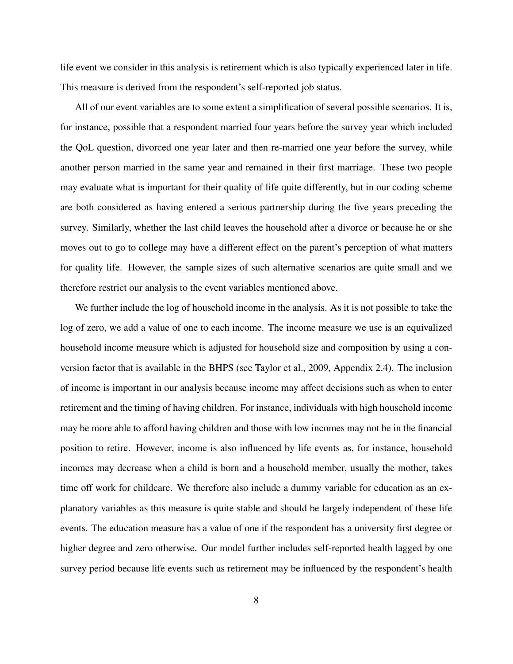life event we consider in this analysis is retirement which is also typically experienced later in life. This measure is derived from the respondent's self-reported job status.

All of our event variables are to some extent a simplification of several possible scenarios. It is, for instance, possible that a respondent married four years before the survey year which included the QoL question, divorced one year later and then re-married one year before the survey, while another person married in the same year and remained in their first marriage. These two people may evaluate what is important for their quality of life quite differently, but in our coding scheme are both considered as having entered a serious partnership during the five years preceding the survey. Similarly, whether the last child leaves the household after a divorce or because he or she moves out to go to college may have a different effect on the parent's perception of what matters for quality life. However, the sample sizes of such alternative scenarios are quite small and we therefore restrict our analysis to the event variables mentioned above.

We further include the log of household income in the analysis. As it is not possible to take the log of zero, we add a value of one to each income. The income measure we use is an equivalized household income measure which is adjusted for household size and composition by using a conversion factor that is available in the BHPS (see Taylor et al., 2009, Appendix 2.4). The inclusion of income is important in our analysis because income may affect decisions such as when to enter retirement and the timing of having children. For instance, individuals with high household income may be more able to afford having children and those with low incomes may not be in the financial position to retire. However, income is also influenced by life events as, for instance, household incomes may decrease when a child is born and a household member, usually the mother, takes time off work for childcare. We therefore also include a dummy variable for education as an explanatory variables as this measure is quite stable and should be largely independent of these life events. The education measure has a value of one if the respondent has a university first degree or higher degree and zero otherwise. Our model further includes self-reported health lagged by one survey period because life events such as retirement may be influenced by the respondent's health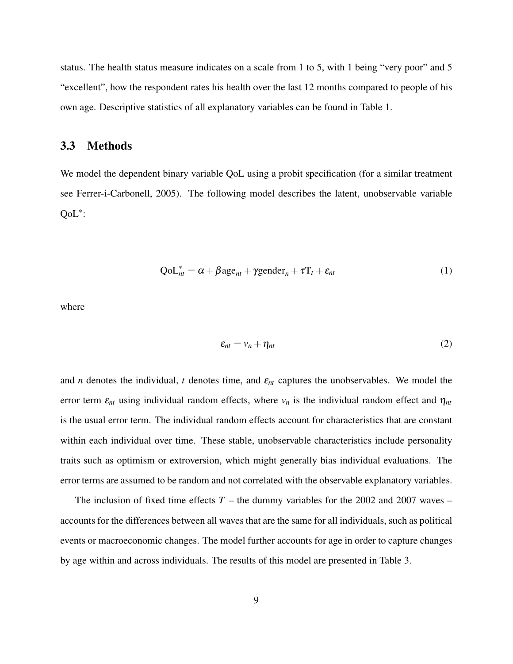status. The health status measure indicates on a scale from 1 to 5, with 1 being "very poor" and 5 "excellent", how the respondent rates his health over the last 12 months compared to people of his own age. Descriptive statistics of all explanatory variables can be found in Table 1.

#### 3.3 Methods

We model the dependent binary variable QoL using a probit specification (for a similar treatment see Ferrer-i-Carbonell, 2005). The following model describes the latent, unobservable variable QoL<sup>∗</sup> :

$$
QoL_{nt}^{*} = \alpha + \beta age_{nt} + \gamma gender_n + \tau T_t + \varepsilon_{nt}
$$
\n(1)

where

$$
\varepsilon_{nt} = v_n + \eta_{nt} \tag{2}
$$

and *n* denotes the individual, *t* denotes time, and  $\varepsilon_{nt}$  captures the unobservables. We model the error term  $\varepsilon_{nt}$  using individual random effects, where  $v_n$  is the individual random effect and  $\eta_{nt}$ is the usual error term. The individual random effects account for characteristics that are constant within each individual over time. These stable, unobservable characteristics include personality traits such as optimism or extroversion, which might generally bias individual evaluations. The error terms are assumed to be random and not correlated with the observable explanatory variables.

The inclusion of fixed time effects  $T$  – the dummy variables for the 2002 and 2007 waves – accounts for the differences between all waves that are the same for all individuals, such as political events or macroeconomic changes. The model further accounts for age in order to capture changes by age within and across individuals. The results of this model are presented in Table 3.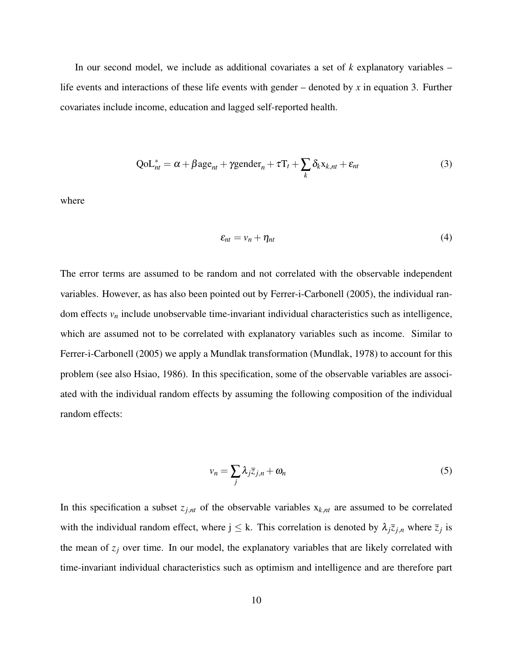In our second model, we include as additional covariates a set of *k* explanatory variables – life events and interactions of these life events with gender – denoted by *x* in equation 3. Further covariates include income, education and lagged self-reported health.

$$
QoL_{nt}^{*} = \alpha + \beta age_{nt} + \gamma gender_n + \tau T_t + \sum_{k} \delta_k x_{k,nt} + \varepsilon_{nt}
$$
\n(3)

where

$$
\varepsilon_{nt} = v_n + \eta_{nt} \tag{4}
$$

The error terms are assumed to be random and not correlated with the observable independent variables. However, as has also been pointed out by Ferrer-i-Carbonell (2005), the individual random effects *v<sup>n</sup>* include unobservable time-invariant individual characteristics such as intelligence, which are assumed not to be correlated with explanatory variables such as income. Similar to Ferrer-i-Carbonell (2005) we apply a Mundlak transformation (Mundlak, 1978) to account for this problem (see also Hsiao, 1986). In this specification, some of the observable variables are associated with the individual random effects by assuming the following composition of the individual random effects:

$$
v_n = \sum_j \lambda_j \bar{z}_{j,n} + \omega_n \tag{5}
$$

In this specification a subset  $z_{j,n}$  of the observable variables  $x_{k,n}$  are assumed to be correlated with the individual random effect, where  $j \leq k$ . This correlation is denoted by  $\lambda_j \bar{z}_{j,n}$  where  $\bar{z}_j$  is the mean of  $z_j$  over time. In our model, the explanatory variables that are likely correlated with time-invariant individual characteristics such as optimism and intelligence and are therefore part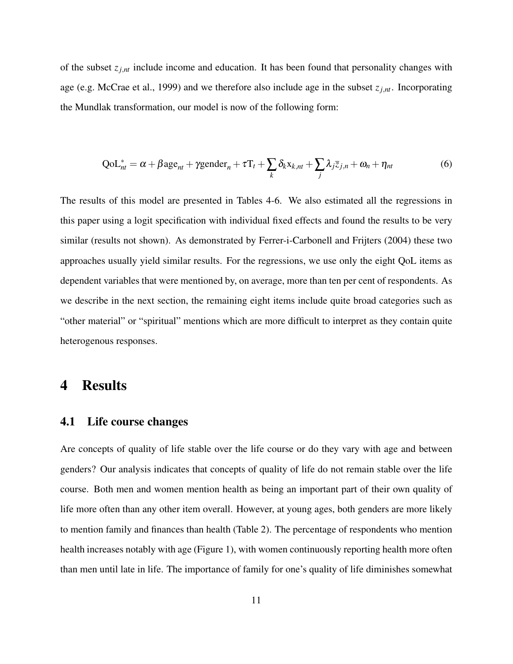of the subset *zj*,*nt* include income and education. It has been found that personality changes with age (e.g. McCrae et al., 1999) and we therefore also include age in the subset  $z_{j,nt}$ . Incorporating the Mundlak transformation, our model is now of the following form:

$$
QoL_{nt}^{*} = \alpha + \beta age_{nt} + \gamma gender_n + \tau T_t + \sum_{k} \delta_k x_{k,nt} + \sum_{j} \lambda_j \bar{z}_{j,n} + \omega_n + \eta_{nt}
$$
(6)

The results of this model are presented in Tables 4-6. We also estimated all the regressions in this paper using a logit specification with individual fixed effects and found the results to be very similar (results not shown). As demonstrated by Ferrer-i-Carbonell and Frijters (2004) these two approaches usually yield similar results. For the regressions, we use only the eight QoL items as dependent variables that were mentioned by, on average, more than ten per cent of respondents. As we describe in the next section, the remaining eight items include quite broad categories such as "other material" or "spiritual" mentions which are more difficult to interpret as they contain quite heterogenous responses.

### 4 Results

#### 4.1 Life course changes

Are concepts of quality of life stable over the life course or do they vary with age and between genders? Our analysis indicates that concepts of quality of life do not remain stable over the life course. Both men and women mention health as being an important part of their own quality of life more often than any other item overall. However, at young ages, both genders are more likely to mention family and finances than health (Table 2). The percentage of respondents who mention health increases notably with age (Figure 1), with women continuously reporting health more often than men until late in life. The importance of family for one's quality of life diminishes somewhat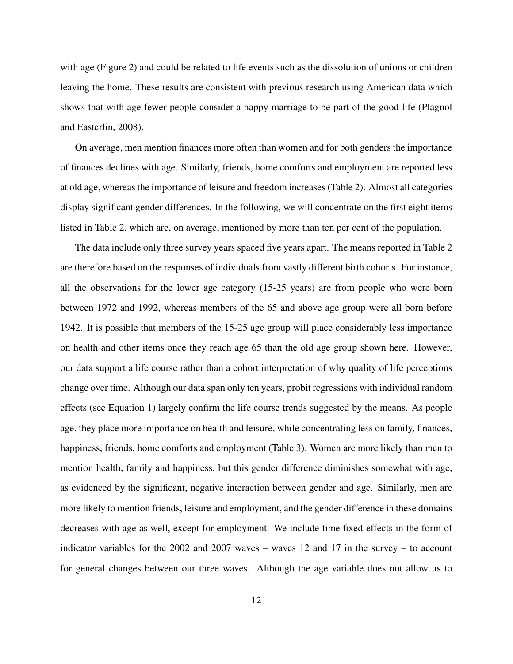with age (Figure 2) and could be related to life events such as the dissolution of unions or children leaving the home. These results are consistent with previous research using American data which shows that with age fewer people consider a happy marriage to be part of the good life (Plagnol and Easterlin, 2008).

On average, men mention finances more often than women and for both genders the importance of finances declines with age. Similarly, friends, home comforts and employment are reported less at old age, whereas the importance of leisure and freedom increases (Table 2). Almost all categories display significant gender differences. In the following, we will concentrate on the first eight items listed in Table 2, which are, on average, mentioned by more than ten per cent of the population.

The data include only three survey years spaced five years apart. The means reported in Table 2 are therefore based on the responses of individuals from vastly different birth cohorts. For instance, all the observations for the lower age category (15-25 years) are from people who were born between 1972 and 1992, whereas members of the 65 and above age group were all born before 1942. It is possible that members of the 15-25 age group will place considerably less importance on health and other items once they reach age 65 than the old age group shown here. However, our data support a life course rather than a cohort interpretation of why quality of life perceptions change over time. Although our data span only ten years, probit regressions with individual random effects (see Equation 1) largely confirm the life course trends suggested by the means. As people age, they place more importance on health and leisure, while concentrating less on family, finances, happiness, friends, home comforts and employment (Table 3). Women are more likely than men to mention health, family and happiness, but this gender difference diminishes somewhat with age, as evidenced by the significant, negative interaction between gender and age. Similarly, men are more likely to mention friends, leisure and employment, and the gender difference in these domains decreases with age as well, except for employment. We include time fixed-effects in the form of indicator variables for the 2002 and 2007 waves – waves 12 and 17 in the survey – to account for general changes between our three waves. Although the age variable does not allow us to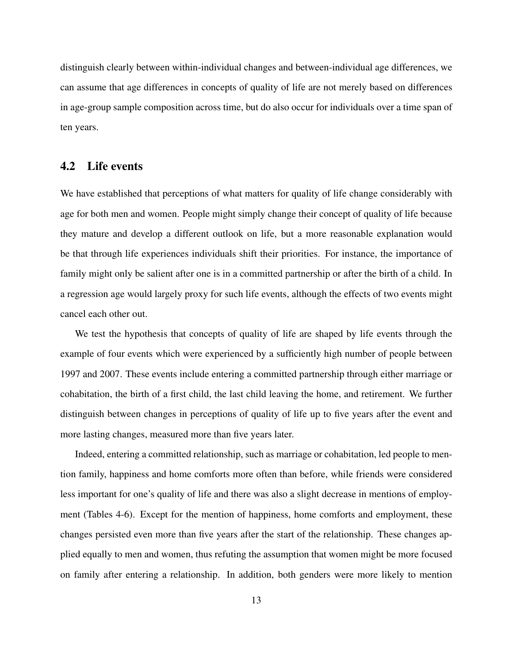distinguish clearly between within-individual changes and between-individual age differences, we can assume that age differences in concepts of quality of life are not merely based on differences in age-group sample composition across time, but do also occur for individuals over a time span of ten years.

#### 4.2 Life events

We have established that perceptions of what matters for quality of life change considerably with age for both men and women. People might simply change their concept of quality of life because they mature and develop a different outlook on life, but a more reasonable explanation would be that through life experiences individuals shift their priorities. For instance, the importance of family might only be salient after one is in a committed partnership or after the birth of a child. In a regression age would largely proxy for such life events, although the effects of two events might cancel each other out.

We test the hypothesis that concepts of quality of life are shaped by life events through the example of four events which were experienced by a sufficiently high number of people between 1997 and 2007. These events include entering a committed partnership through either marriage or cohabitation, the birth of a first child, the last child leaving the home, and retirement. We further distinguish between changes in perceptions of quality of life up to five years after the event and more lasting changes, measured more than five years later.

Indeed, entering a committed relationship, such as marriage or cohabitation, led people to mention family, happiness and home comforts more often than before, while friends were considered less important for one's quality of life and there was also a slight decrease in mentions of employment (Tables 4-6). Except for the mention of happiness, home comforts and employment, these changes persisted even more than five years after the start of the relationship. These changes applied equally to men and women, thus refuting the assumption that women might be more focused on family after entering a relationship. In addition, both genders were more likely to mention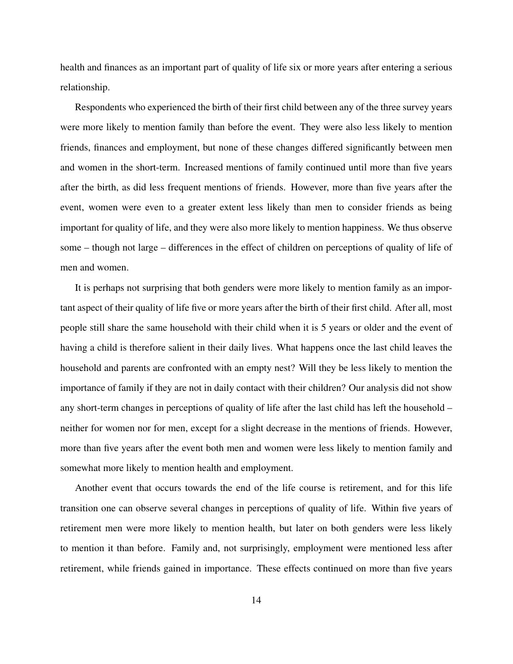health and finances as an important part of quality of life six or more years after entering a serious relationship.

Respondents who experienced the birth of their first child between any of the three survey years were more likely to mention family than before the event. They were also less likely to mention friends, finances and employment, but none of these changes differed significantly between men and women in the short-term. Increased mentions of family continued until more than five years after the birth, as did less frequent mentions of friends. However, more than five years after the event, women were even to a greater extent less likely than men to consider friends as being important for quality of life, and they were also more likely to mention happiness. We thus observe some – though not large – differences in the effect of children on perceptions of quality of life of men and women.

It is perhaps not surprising that both genders were more likely to mention family as an important aspect of their quality of life five or more years after the birth of their first child. After all, most people still share the same household with their child when it is 5 years or older and the event of having a child is therefore salient in their daily lives. What happens once the last child leaves the household and parents are confronted with an empty nest? Will they be less likely to mention the importance of family if they are not in daily contact with their children? Our analysis did not show any short-term changes in perceptions of quality of life after the last child has left the household – neither for women nor for men, except for a slight decrease in the mentions of friends. However, more than five years after the event both men and women were less likely to mention family and somewhat more likely to mention health and employment.

Another event that occurs towards the end of the life course is retirement, and for this life transition one can observe several changes in perceptions of quality of life. Within five years of retirement men were more likely to mention health, but later on both genders were less likely to mention it than before. Family and, not surprisingly, employment were mentioned less after retirement, while friends gained in importance. These effects continued on more than five years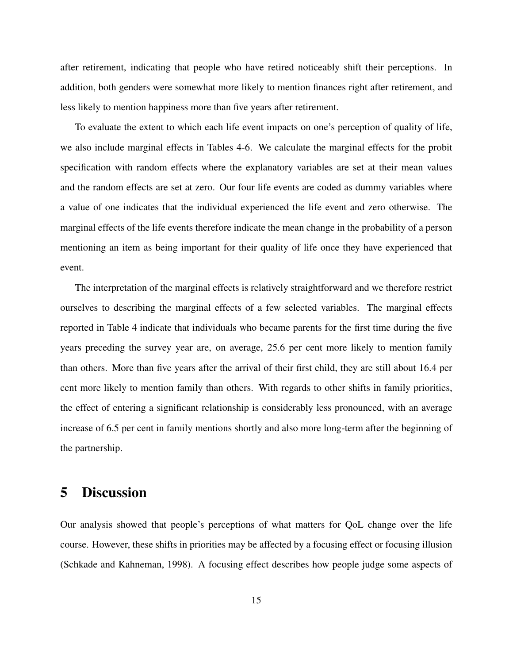after retirement, indicating that people who have retired noticeably shift their perceptions. In addition, both genders were somewhat more likely to mention finances right after retirement, and less likely to mention happiness more than five years after retirement.

To evaluate the extent to which each life event impacts on one's perception of quality of life, we also include marginal effects in Tables 4-6. We calculate the marginal effects for the probit specification with random effects where the explanatory variables are set at their mean values and the random effects are set at zero. Our four life events are coded as dummy variables where a value of one indicates that the individual experienced the life event and zero otherwise. The marginal effects of the life events therefore indicate the mean change in the probability of a person mentioning an item as being important for their quality of life once they have experienced that event.

The interpretation of the marginal effects is relatively straightforward and we therefore restrict ourselves to describing the marginal effects of a few selected variables. The marginal effects reported in Table 4 indicate that individuals who became parents for the first time during the five years preceding the survey year are, on average, 25.6 per cent more likely to mention family than others. More than five years after the arrival of their first child, they are still about 16.4 per cent more likely to mention family than others. With regards to other shifts in family priorities, the effect of entering a significant relationship is considerably less pronounced, with an average increase of 6.5 per cent in family mentions shortly and also more long-term after the beginning of the partnership.

#### 5 Discussion

Our analysis showed that people's perceptions of what matters for QoL change over the life course. However, these shifts in priorities may be affected by a focusing effect or focusing illusion (Schkade and Kahneman, 1998). A focusing effect describes how people judge some aspects of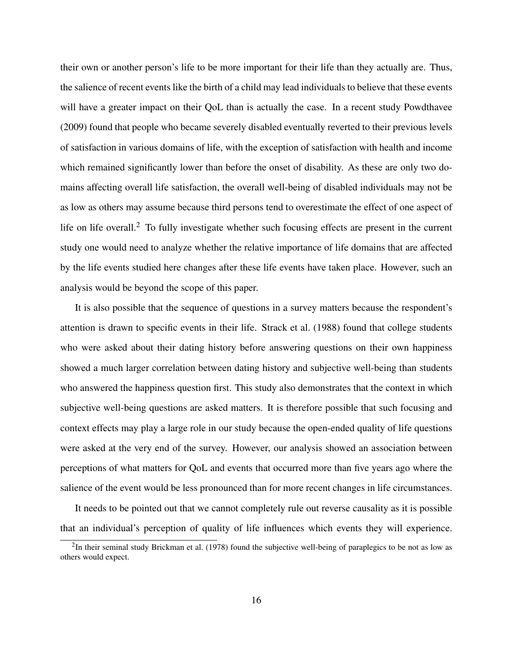their own or another person's life to be more important for their life than they actually are. Thus, the salience of recent events like the birth of a child may lead individuals to believe that these events will have a greater impact on their QoL than is actually the case. In a recent study Powdthavee (2009) found that people who became severely disabled eventually reverted to their previous levels of satisfaction in various domains of life, with the exception of satisfaction with health and income which remained significantly lower than before the onset of disability. As these are only two domains affecting overall life satisfaction, the overall well-being of disabled individuals may not be as low as others may assume because third persons tend to overestimate the effect of one aspect of life on life overall.<sup>2</sup> To fully investigate whether such focusing effects are present in the current study one would need to analyze whether the relative importance of life domains that are affected by the life events studied here changes after these life events have taken place. However, such an analysis would be beyond the scope of this paper.

It is also possible that the sequence of questions in a survey matters because the respondent's attention is drawn to specific events in their life. Strack et al. (1988) found that college students who were asked about their dating history before answering questions on their own happiness showed a much larger correlation between dating history and subjective well-being than students who answered the happiness question first. This study also demonstrates that the context in which subjective well-being questions are asked matters. It is therefore possible that such focusing and context effects may play a large role in our study because the open-ended quality of life questions were asked at the very end of the survey. However, our analysis showed an association between perceptions of what matters for QoL and events that occurred more than five years ago where the salience of the event would be less pronounced than for more recent changes in life circumstances.

It needs to be pointed out that we cannot completely rule out reverse causality as it is possible that an individual's perception of quality of life influences which events they will experience.

 $2$ In their seminal study Brickman et al. (1978) found the subjective well-being of paraplegics to be not as low as others would expect.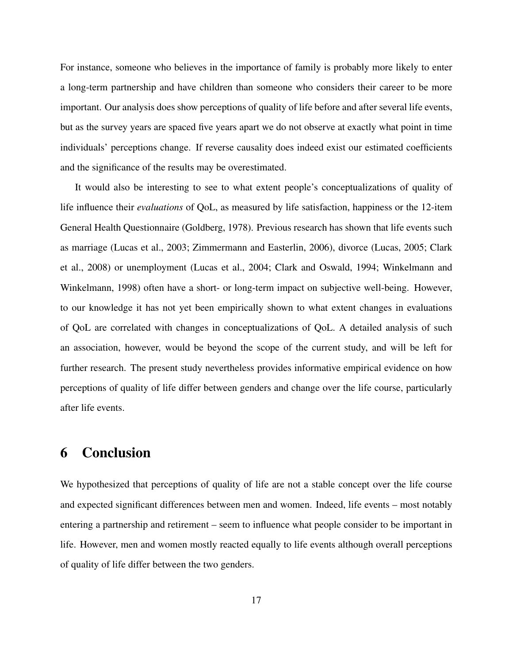For instance, someone who believes in the importance of family is probably more likely to enter a long-term partnership and have children than someone who considers their career to be more important. Our analysis does show perceptions of quality of life before and after several life events, but as the survey years are spaced five years apart we do not observe at exactly what point in time individuals' perceptions change. If reverse causality does indeed exist our estimated coefficients and the significance of the results may be overestimated.

It would also be interesting to see to what extent people's conceptualizations of quality of life influence their *evaluations* of QoL, as measured by life satisfaction, happiness or the 12-item General Health Questionnaire (Goldberg, 1978). Previous research has shown that life events such as marriage (Lucas et al., 2003; Zimmermann and Easterlin, 2006), divorce (Lucas, 2005; Clark et al., 2008) or unemployment (Lucas et al., 2004; Clark and Oswald, 1994; Winkelmann and Winkelmann, 1998) often have a short- or long-term impact on subjective well-being. However, to our knowledge it has not yet been empirically shown to what extent changes in evaluations of QoL are correlated with changes in conceptualizations of QoL. A detailed analysis of such an association, however, would be beyond the scope of the current study, and will be left for further research. The present study nevertheless provides informative empirical evidence on how perceptions of quality of life differ between genders and change over the life course, particularly after life events.

### 6 Conclusion

We hypothesized that perceptions of quality of life are not a stable concept over the life course and expected significant differences between men and women. Indeed, life events – most notably entering a partnership and retirement – seem to influence what people consider to be important in life. However, men and women mostly reacted equally to life events although overall perceptions of quality of life differ between the two genders.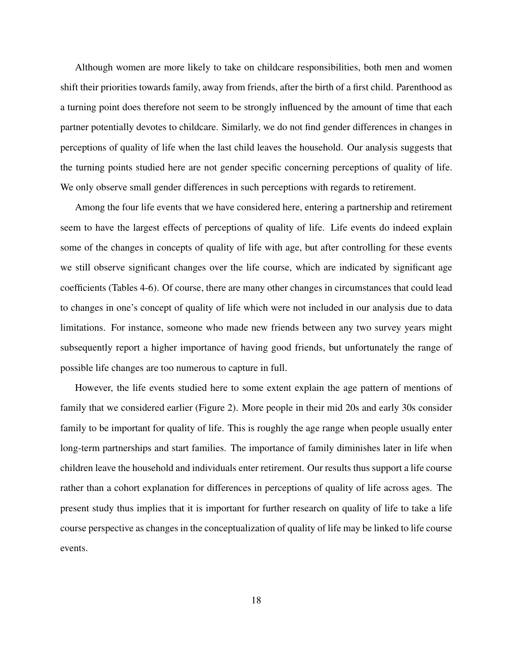Although women are more likely to take on childcare responsibilities, both men and women shift their priorities towards family, away from friends, after the birth of a first child. Parenthood as a turning point does therefore not seem to be strongly influenced by the amount of time that each partner potentially devotes to childcare. Similarly, we do not find gender differences in changes in perceptions of quality of life when the last child leaves the household. Our analysis suggests that the turning points studied here are not gender specific concerning perceptions of quality of life. We only observe small gender differences in such perceptions with regards to retirement.

Among the four life events that we have considered here, entering a partnership and retirement seem to have the largest effects of perceptions of quality of life. Life events do indeed explain some of the changes in concepts of quality of life with age, but after controlling for these events we still observe significant changes over the life course, which are indicated by significant age coefficients (Tables 4-6). Of course, there are many other changes in circumstances that could lead to changes in one's concept of quality of life which were not included in our analysis due to data limitations. For instance, someone who made new friends between any two survey years might subsequently report a higher importance of having good friends, but unfortunately the range of possible life changes are too numerous to capture in full.

However, the life events studied here to some extent explain the age pattern of mentions of family that we considered earlier (Figure 2). More people in their mid 20s and early 30s consider family to be important for quality of life. This is roughly the age range when people usually enter long-term partnerships and start families. The importance of family diminishes later in life when children leave the household and individuals enter retirement. Our results thus support a life course rather than a cohort explanation for differences in perceptions of quality of life across ages. The present study thus implies that it is important for further research on quality of life to take a life course perspective as changes in the conceptualization of quality of life may be linked to life course events.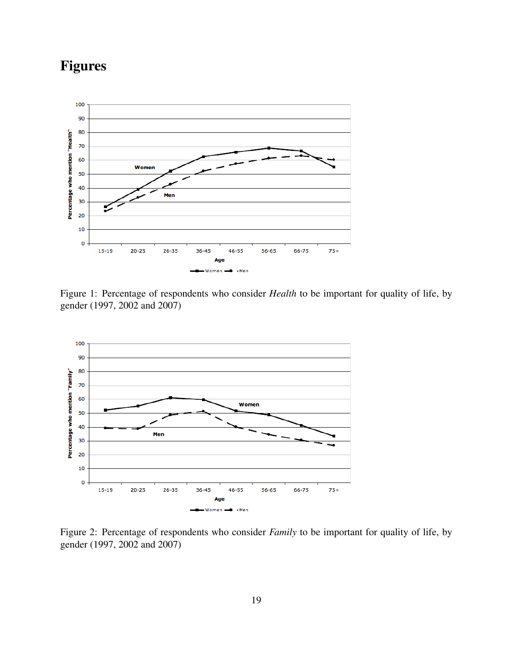## Figures



Figure 1: Percentage of respondents who consider *Health* to be important for quality of life, by gender (1997, 2002 and 2007)



Figure 2: Percentage of respondents who consider *Family* to be important for quality of life, by gender (1997, 2002 and 2007)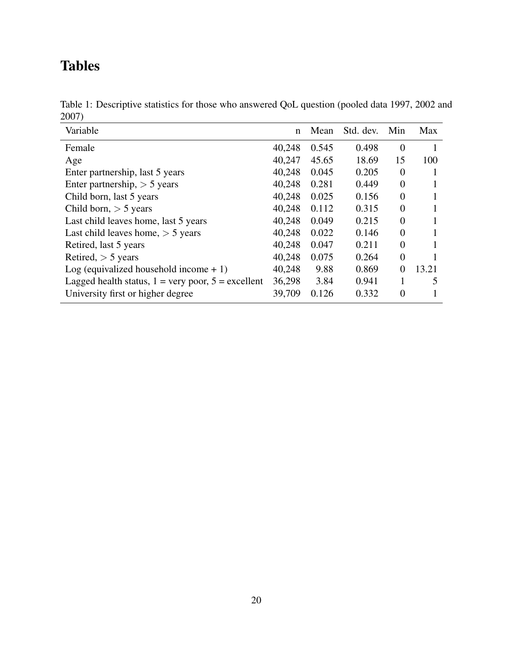## Tables

| Table 1: Descriptive statistics for those who answered QoL question (pooled data 1997, 2002 and |  |  |
|-------------------------------------------------------------------------------------------------|--|--|
| 2007)                                                                                           |  |  |

| Variable                                                           | n      | Mean  | Std. dev. | Min            | Max   |
|--------------------------------------------------------------------|--------|-------|-----------|----------------|-------|
| Female                                                             | 40,248 | 0.545 | 0.498     | $\theta$       |       |
| Age                                                                | 40,247 | 45.65 | 18.69     | 15             | 100   |
| Enter partnership, last 5 years                                    | 40,248 | 0.045 | 0.205     | $\overline{0}$ |       |
| Enter partnership, $> 5$ years                                     | 40,248 | 0.281 | 0.449     | $\overline{0}$ |       |
| Child born, last 5 years                                           | 40,248 | 0.025 | 0.156     | $\Omega$       |       |
| Child born, $>$ 5 years                                            | 40,248 | 0.112 | 0.315     | $\overline{0}$ |       |
| Last child leaves home, last 5 years                               | 40,248 | 0.049 | 0.215     | $\theta$       |       |
| Last child leaves home, $>$ 5 years                                | 40,248 | 0.022 | 0.146     | $\theta$       |       |
| Retired, last 5 years                                              | 40,248 | 0.047 | 0.211     | $\Omega$       |       |
| Retired, $>$ 5 years                                               | 40,248 | 0.075 | 0.264     | $\overline{0}$ |       |
| Log (equivalized household income $+1$ )                           | 40,248 | 9.88  | 0.869     | $\Omega$       | 13.21 |
| Lagged health status, $1 = \text{very poor}, 5 = \text{excellent}$ | 36,298 | 3.84  | 0.941     | 1              | 5     |
| University first or higher degree                                  | 39,709 | 0.126 | 0.332     | $\Omega$       |       |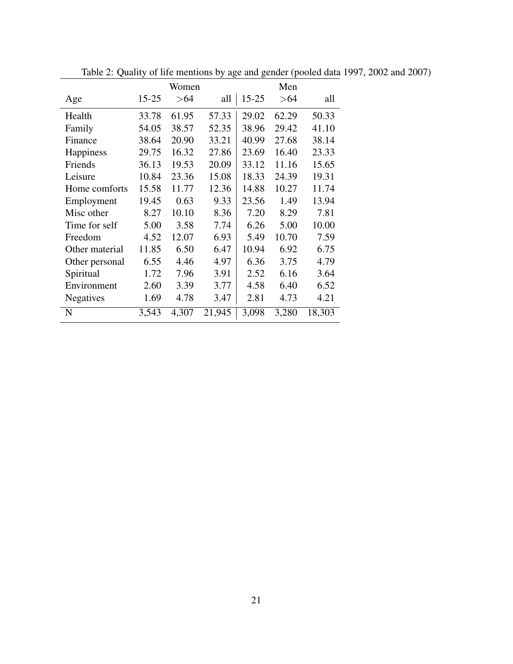|                | Women     |       |        |           | Men   |        |  |
|----------------|-----------|-------|--------|-----------|-------|--------|--|
| Age            | $15 - 25$ | > 64  | all    | $15 - 25$ | > 64  | all    |  |
| Health         | 33.78     | 61.95 | 57.33  | 29.02     | 62.29 | 50.33  |  |
| Family         | 54.05     | 38.57 | 52.35  | 38.96     | 29.42 | 41.10  |  |
| Finance        | 38.64     | 20.90 | 33.21  | 40.99     | 27.68 | 38.14  |  |
| Happiness      | 29.75     | 16.32 | 27.86  | 23.69     | 16.40 | 23.33  |  |
| Friends        | 36.13     | 19.53 | 20.09  | 33.12     | 11.16 | 15.65  |  |
| Leisure        | 10.84     | 23.36 | 15.08  | 18.33     | 24.39 | 19.31  |  |
| Home comforts  | 15.58     | 11.77 | 12.36  | 14.88     | 10.27 | 11.74  |  |
| Employment     | 19.45     | 0.63  | 9.33   | 23.56     | 1.49  | 13.94  |  |
| Misc other     | 8.27      | 10.10 | 8.36   | 7.20      | 8.29  | 7.81   |  |
| Time for self  | 5.00      | 3.58  | 7.74   | 6.26      | 5.00  | 10.00  |  |
| Freedom        | 4.52      | 12.07 | 6.93   | 5.49      | 10.70 | 7.59   |  |
| Other material | 11.85     | 6.50  | 6.47   | 10.94     | 6.92  | 6.75   |  |
| Other personal | 6.55      | 4.46  | 4.97   | 6.36      | 3.75  | 4.79   |  |
| Spiritual      | 1.72      | 7.96  | 3.91   | 2.52      | 6.16  | 3.64   |  |
| Environment    | 2.60      | 3.39  | 3.77   | 4.58      | 6.40  | 6.52   |  |
| Negatives      | 1.69      | 4.78  | 3.47   | 2.81      | 4.73  | 4.21   |  |
| N              | 3,543     | 4,307 | 21,945 | 3,098     | 3,280 | 18,303 |  |

Table 2: Quality of life mentions by age and gender (pooled data 1997, 2002 and 2007)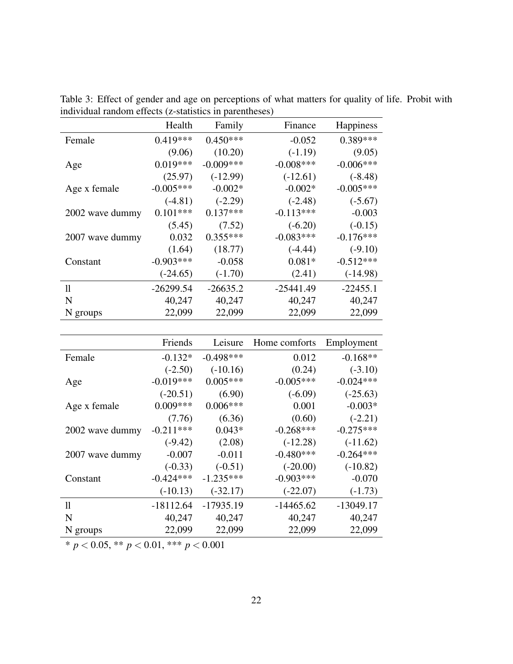|                 | Health      | Family      | Finance      | Happiness   |
|-----------------|-------------|-------------|--------------|-------------|
| Female          | $0.419***$  | $0.450***$  | $-0.052$     | $0.389***$  |
|                 | (9.06)      | (10.20)     | $(-1.19)$    | (9.05)      |
| Age             | $0.019***$  | $-0.009***$ | $-0.008$ *** | $-0.006***$ |
|                 | (25.97)     | $(-12.99)$  | $(-12.61)$   | $(-8.48)$   |
| Age x female    | $-0.005***$ | $-0.002*$   | $-0.002*$    | $-0.005***$ |
|                 | $(-4.81)$   | $(-2.29)$   | $(-2.48)$    | $(-5.67)$   |
| 2002 wave dummy | $0.101***$  | $0.137***$  | $-0.113***$  | $-0.003$    |
|                 | (5.45)      | (7.52)      | $(-6.20)$    | $(-0.15)$   |
| 2007 wave dummy | 0.032       | $0.355***$  | $-0.083***$  | $-0.176***$ |
|                 | (1.64)      | (18.77)     | $(-4.44)$    | $(-9.10)$   |
| Constant        | $-0.903***$ | $-0.058$    | $0.081*$     | $-0.512***$ |
|                 | $(-24.65)$  | $(-1.70)$   | (2.41)       | $(-14.98)$  |
| $\mathbf{1}$    | $-26299.54$ | $-26635.2$  | $-25441.49$  | $-22455.1$  |
| N               | 40,247      | 40,247      | 40,247       | 40,247      |
| N groups        | 22,099      | 22,099      | 22,099       | 22,099      |

Table 3: Effect of gender and age on perceptions of what matters for quality of life. Probit with individual random effects (z-statistics in parentheses)  $\overline{\phantom{a}}$ 

|                 | Friends     | Leisure     | Home comforts | Employment  |
|-----------------|-------------|-------------|---------------|-------------|
| Female          | $-0.132*$   | $-0.498***$ | 0.012         | $-0.168**$  |
|                 | $(-2.50)$   | $(-10.16)$  | (0.24)        | $(-3.10)$   |
| Age             | $-0.019***$ | $0.005***$  | $-0.005***$   | $-0.024***$ |
|                 | $(-20.51)$  | (6.90)      | $(-6.09)$     | $(-25.63)$  |
| Age x female    | $0.009***$  | $0.006***$  | 0.001         | $-0.003*$   |
|                 | (7.76)      | (6.36)      | (0.60)        | $(-2.21)$   |
| 2002 wave dummy | $-0.211***$ | $0.043*$    | $-0.268***$   | $-0.275***$ |
|                 | $(-9.42)$   | (2.08)      | $(-12.28)$    | $(-11.62)$  |
| 2007 wave dummy | $-0.007$    | $-0.011$    | $-0.480***$   | $-0.264***$ |
|                 | $(-0.33)$   | $(-0.51)$   | $(-20.00)$    | $(-10.82)$  |
| Constant        | $-0.424***$ | $-1.235***$ | $-0.903***$   | $-0.070$    |
|                 | $(-10.13)$  | $(-32.17)$  | $(-22.07)$    | $(-1.73)$   |
| 11              | $-18112.64$ | $-17935.19$ | $-14465.62$   | $-13049.17$ |
| N               | 40,247      | 40,247      | 40,247        | 40,247      |
| N groups        | 22,099      | 22,099      | 22,099        | 22,099      |

\* *p* < 0.05, \*\* *p* < 0.01, \*\*\* *p* < 0.001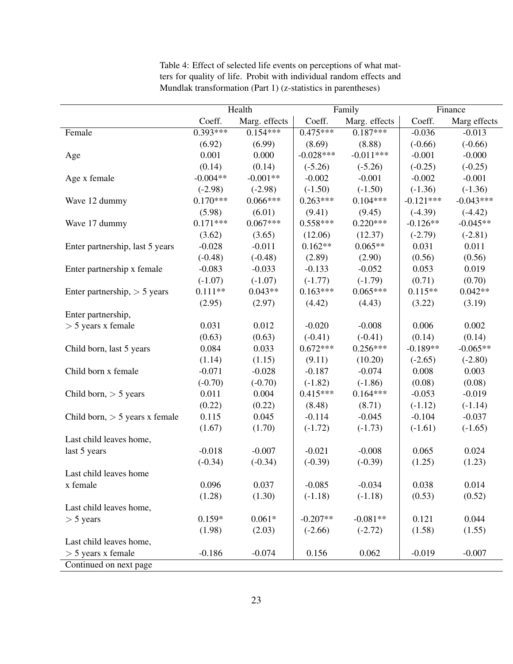|                                  | Health     |               | Family      |               | Finance     |              |
|----------------------------------|------------|---------------|-------------|---------------|-------------|--------------|
|                                  | Coeff.     | Marg. effects | Coeff.      | Marg. effects | Coeff.      | Marg effects |
| Female                           | $0.393***$ | $0.154***$    | $0.475***$  | $0.187***$    | $-0.036$    | $-0.013$     |
|                                  | (6.92)     | (6.99)        | (8.69)      | (8.88)        | $(-0.66)$   | $(-0.66)$    |
| Age                              | 0.001      | 0.000         | $-0.028***$ | $-0.011***$   | $-0.001$    | $-0.000$     |
|                                  | (0.14)     | (0.14)        | $(-5.26)$   | $(-5.26)$     | $(-0.25)$   | $(-0.25)$    |
| Age x female                     | $-0.004**$ | $-0.001**$    | $-0.002$    | $-0.001$      | $-0.002$    | $-0.001$     |
|                                  | $(-2.98)$  | $(-2.98)$     | $(-1.50)$   | $(-1.50)$     | $(-1.36)$   | $(-1.36)$    |
| Wave 12 dummy                    | $0.170***$ | $0.066***$    | $0.263***$  | $0.104***$    | $-0.121***$ | $-0.043***$  |
|                                  | (5.98)     | (6.01)        | (9.41)      | (9.45)        | $(-4.39)$   | $(-4.42)$    |
| Wave 17 dummy                    | $0.171***$ | $0.067***$    | $0.558***$  | $0.220***$    | $-0.126**$  | $-0.045**$   |
|                                  | (3.62)     | (3.65)        | (12.06)     | (12.37)       | $(-2.79)$   | $(-2.81)$    |
| Enter partnership, last 5 years  | $-0.028$   | $-0.011$      | $0.162**$   | $0.065**$     | 0.031       | 0.011        |
|                                  | $(-0.48)$  | $(-0.48)$     | (2.89)      | (2.90)        | (0.56)      | (0.56)       |
| Enter partnership x female       | $-0.083$   | $-0.033$      | $-0.133$    | $-0.052$      | 0.053       | 0.019        |
|                                  | $(-1.07)$  | $(-1.07)$     | $(-1.77)$   | $(-1.79)$     | (0.71)      | (0.70)       |
| Enter partnership, $> 5$ years   | $0.111**$  | $0.043**$     | $0.163***$  | $0.065***$    | $0.115**$   | $0.042**$    |
|                                  | (2.95)     | (2.97)        | (4.42)      | (4.43)        | (3.22)      | (3.19)       |
| Enter partnership,               |            |               |             |               |             |              |
| $>$ 5 years x female             | 0.031      | 0.012         | $-0.020$    | $-0.008$      | 0.006       | 0.002        |
|                                  | (0.63)     | (0.63)        | $(-0.41)$   | $(-0.41)$     | (0.14)      | (0.14)       |
| Child born, last 5 years         | 0.084      | 0.033         | $0.672***$  | $0.256***$    | $-0.189**$  | $-0.065**$   |
|                                  | (1.14)     | (1.15)        | (9.11)      | (10.20)       | $(-2.65)$   | $(-2.80)$    |
| Child born x female              | $-0.071$   | $-0.028$      | $-0.187$    | $-0.074$      | 0.008       | 0.003        |
|                                  | $(-0.70)$  | $(-0.70)$     | $(-1.82)$   | $(-1.86)$     | (0.08)      | (0.08)       |
| Child born, $> 5$ years          | 0.011      | 0.004         | $0.415***$  | $0.164***$    | $-0.053$    | $-0.019$     |
|                                  | (0.22)     | (0.22)        | (8.48)      | (8.71)        | $(-1.12)$   | $(-1.14)$    |
| Child born, $> 5$ years x female | 0.115      | 0.045         | $-0.114$    | $-0.045$      | $-0.104$    | $-0.037$     |
|                                  | (1.67)     | (1.70)        | $(-1.72)$   | $(-1.73)$     | $(-1.61)$   | $(-1.65)$    |
| Last child leaves home,          |            |               |             |               |             |              |
| last 5 years                     | $-0.018$   | $-0.007$      | $-0.021$    | $-0.008$      | 0.065       | 0.024        |
|                                  | $(-0.34)$  | $(-0.34)$     | $(-0.39)$   | $(-0.39)$     | (1.25)      | (1.23)       |
| Last child leaves home           |            |               |             |               |             |              |
| x female                         | 0.096      | 0.037         | $-0.085$    | $-0.034$      | 0.038       | 0.014        |
|                                  | (1.28)     | (1.30)        | $(-1.18)$   | $(-1.18)$     | (0.53)      | (0.52)       |
| Last child leaves home,          |            |               |             |               |             |              |
| $>$ 5 years                      | $0.159*$   | $0.061*$      | $-0.207**$  | $-0.081**$    | 0.121       | 0.044        |
|                                  | (1.98)     | (2.03)        | $(-2.66)$   | $(-2.72)$     | (1.58)      | (1.55)       |
| Last child leaves home,          |            |               |             |               |             |              |
| $>$ 5 years x female             | $-0.186$   | $-0.074$      | 0.156       | 0.062         | $-0.019$    | $-0.007$     |
| Continued on next page           |            |               |             |               |             |              |

Table 4: Effect of selected life events on perceptions of what matters for quality of life. Probit with individual random effects and Mundlak transformation (Part 1) (z-statistics in parentheses)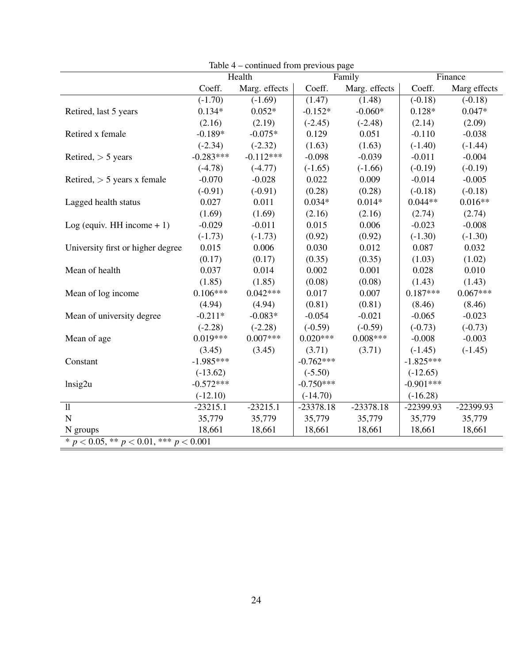|                                                |             | $\alpha$ continuous from provious page<br>Health |             | Family        | Finance     |              |
|------------------------------------------------|-------------|--------------------------------------------------|-------------|---------------|-------------|--------------|
|                                                | Coeff.      | Marg. effects                                    | Coeff.      | Marg. effects | Coeff.      | Marg effects |
|                                                | $(-1.70)$   | $(-1.69)$                                        | (1.47)      | (1.48)        | $(-0.18)$   | $(-0.18)$    |
| Retired, last 5 years                          | $0.134*$    | $0.052*$                                         | $-0.152*$   | $-0.060*$     | $0.128*$    | $0.047*$     |
|                                                | (2.16)      | (2.19)                                           | $(-2.45)$   | $(-2.48)$     | (2.14)      | (2.09)       |
| Retired x female                               | $-0.189*$   | $-0.075*$                                        | 0.129       | 0.051         | $-0.110$    | $-0.038$     |
|                                                | $(-2.34)$   | $(-2.32)$                                        | (1.63)      | (1.63)        | $(-1.40)$   | $(-1.44)$    |
| Retired, $>$ 5 years                           | $-0.283***$ | $-0.112***$                                      | $-0.098$    | $-0.039$      | $-0.011$    | $-0.004$     |
|                                                | $(-4.78)$   | $(-4.77)$                                        | $(-1.65)$   | $(-1.66)$     | $(-0.19)$   | $(-0.19)$    |
| Retired, $> 5$ years x female                  | $-0.070$    | $-0.028$                                         | 0.022       | 0.009         | $-0.014$    | $-0.005$     |
|                                                | $(-0.91)$   | $(-0.91)$                                        | (0.28)      | (0.28)        | $(-0.18)$   | $(-0.18)$    |
| Lagged health status                           | 0.027       | 0.011                                            | $0.034*$    | $0.014*$      | $0.044**$   | $0.016**$    |
|                                                | (1.69)      | (1.69)                                           | (2.16)      | (2.16)        | (2.74)      | (2.74)       |
| Log (equiv. HH income $+1$ )                   | $-0.029$    | $-0.011$                                         | 0.015       | 0.006         | $-0.023$    | $-0.008$     |
|                                                | $(-1.73)$   | $(-1.73)$                                        | (0.92)      | (0.92)        | $(-1.30)$   | $(-1.30)$    |
| University first or higher degree              | 0.015       | 0.006                                            | 0.030       | 0.012         | 0.087       | 0.032        |
|                                                | (0.17)      | (0.17)                                           | (0.35)      | (0.35)        | (1.03)      | (1.02)       |
| Mean of health                                 | 0.037       | 0.014                                            | 0.002       | 0.001         | 0.028       | 0.010        |
|                                                | (1.85)      | (1.85)                                           | (0.08)      | (0.08)        | (1.43)      | (1.43)       |
| Mean of log income                             | $0.106***$  | $0.042***$                                       | 0.017       | 0.007         | $0.187***$  | $0.067***$   |
|                                                | (4.94)      | (4.94)                                           | (0.81)      | (0.81)        | (8.46)      | (8.46)       |
| Mean of university degree                      | $-0.211*$   | $-0.083*$                                        | $-0.054$    | $-0.021$      | $-0.065$    | $-0.023$     |
|                                                | $(-2.28)$   | $(-2.28)$                                        | $(-0.59)$   | $(-0.59)$     | $(-0.73)$   | $(-0.73)$    |
| Mean of age                                    | $0.019***$  | $0.007***$                                       | $0.020***$  | $0.008***$    | $-0.008$    | $-0.003$     |
|                                                | (3.45)      | (3.45)                                           | (3.71)      | (3.71)        | $(-1.45)$   | $(-1.45)$    |
| Constant                                       | $-1.985***$ |                                                  | $-0.762***$ |               | $-1.825***$ |              |
|                                                | $(-13.62)$  |                                                  | $(-5.50)$   |               | $(-12.65)$  |              |
| Insig2u                                        | $-0.572***$ |                                                  | $-0.750***$ |               | $-0.901***$ |              |
|                                                | $(-12.10)$  |                                                  | $(-14.70)$  |               | $(-16.28)$  |              |
| $\overline{\mathbf{u}}$                        | $-23215.1$  | $-23215.1$                                       | $-23378.18$ | $-23378.18$   | $-22399.93$ | -22399.93    |
| $\overline{N}$                                 | 35,779      | 35,779                                           | 35,779      | 35,779        | 35,779      | 35,779       |
| N groups                                       | 18,661      | 18,661                                           | 18,661      | 18,661        | 18,661      | 18,661       |
| * $p < 0.05$ , ** $p < 0.01$ , *** $p < 0.001$ |             |                                                  |             |               |             |              |

Table 4 – continued from previous page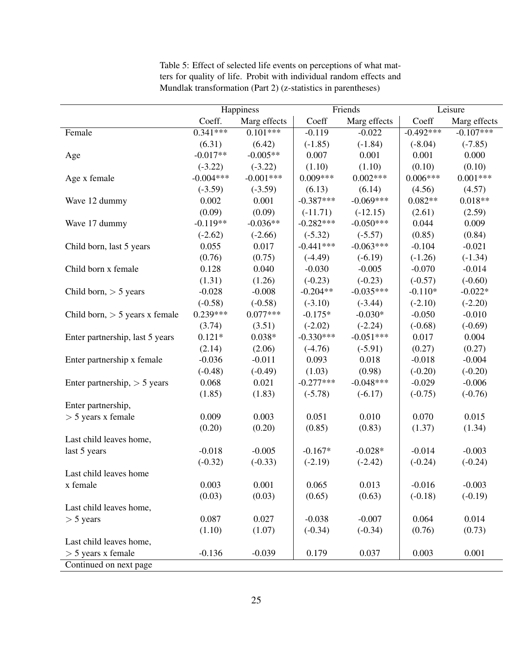|                                  | Happiness   |              | Friends     |              | Leisure     |              |
|----------------------------------|-------------|--------------|-------------|--------------|-------------|--------------|
|                                  | Coeff.      | Marg effects | Coeff       | Marg effects | Coeff       | Marg effects |
| Female                           | $0.341***$  | $0.101***$   | $-0.119$    | $-0.022$     | $-0.492***$ | $-0.107***$  |
|                                  | (6.31)      | (6.42)       | $(-1.85)$   | $(-1.84)$    | $(-8.04)$   | $(-7.85)$    |
| Age                              | $-0.017**$  | $-0.005**$   | 0.007       | 0.001        | 0.001       | 0.000        |
|                                  | $(-3.22)$   | $(-3.22)$    | (1.10)      | (1.10)       | (0.10)      | (0.10)       |
| Age x female                     | $-0.004***$ | $-0.001***$  | $0.009***$  | $0.002***$   | $0.006***$  | $0.001***$   |
|                                  | $(-3.59)$   | $(-3.59)$    | (6.13)      | (6.14)       | (4.56)      | (4.57)       |
| Wave 12 dummy                    | 0.002       | 0.001        | $-0.387***$ | $-0.069***$  | $0.082**$   | $0.018**$    |
|                                  | (0.09)      | (0.09)       | $(-11.71)$  | $(-12.15)$   | (2.61)      | (2.59)       |
| Wave 17 dummy                    | $-0.119**$  | $-0.036**$   | $-0.282***$ | $-0.050***$  | 0.044       | 0.009        |
|                                  | $(-2.62)$   | $(-2.66)$    | $(-5.32)$   | $(-5.57)$    | (0.85)      | (0.84)       |
| Child born, last 5 years         | 0.055       | 0.017        | $-0.441***$ | $-0.063***$  | $-0.104$    | $-0.021$     |
|                                  | (0.76)      | (0.75)       | $(-4.49)$   | $(-6.19)$    | $(-1.26)$   | $(-1.34)$    |
| Child born x female              | 0.128       | 0.040        | $-0.030$    | $-0.005$     | $-0.070$    | $-0.014$     |
|                                  | (1.31)      | (1.26)       | $(-0.23)$   | $(-0.23)$    | $(-0.57)$   | $(-0.60)$    |
| Child born, $> 5$ years          | $-0.028$    | $-0.008$     | $-0.204**$  | $-0.035***$  | $-0.110*$   | $-0.022*$    |
|                                  | $(-0.58)$   | $(-0.58)$    | $(-3.10)$   | $(-3.44)$    | $(-2.10)$   | $(-2.20)$    |
| Child born, $> 5$ years x female | $0.239***$  | $0.077***$   | $-0.175*$   | $-0.030*$    | $-0.050$    | $-0.010$     |
|                                  | (3.74)      | (3.51)       | $(-2.02)$   | $(-2.24)$    | $(-0.68)$   | $(-0.69)$    |
| Enter partnership, last 5 years  | $0.121*$    | $0.038*$     | $-0.330***$ | $-0.051***$  | 0.017       | 0.004        |
|                                  | (2.14)      | (2.06)       | $(-4.76)$   | $(-5.91)$    | (0.27)      | (0.27)       |
| Enter partnership x female       | $-0.036$    | $-0.011$     | 0.093       | 0.018        | $-0.018$    | $-0.004$     |
|                                  | $(-0.48)$   | $(-0.49)$    | (1.03)      | (0.98)       | $(-0.20)$   | $(-0.20)$    |
| Enter partnership, $> 5$ years   | 0.068       | 0.021        | $-0.277***$ | $-0.048***$  | $-0.029$    | $-0.006$     |
|                                  | (1.85)      | (1.83)       | $(-5.78)$   | $(-6.17)$    | $(-0.75)$   | $(-0.76)$    |
| Enter partnership,               |             |              |             |              |             |              |
| $>$ 5 years x female             | 0.009       | 0.003        | 0.051       | 0.010        | 0.070       | 0.015        |
|                                  | (0.20)      | (0.20)       | (0.85)      | (0.83)       | (1.37)      | (1.34)       |
| Last child leaves home,          |             |              |             |              |             |              |
| last 5 years                     | $-0.018$    | $-0.005$     | $-0.167*$   | $-0.028*$    | $-0.014$    | $-0.003$     |
|                                  | $(-0.32)$   | $(-0.33)$    | $(-2.19)$   | $(-2.42)$    | $(-0.24)$   | $(-0.24)$    |
| Last child leaves home           |             |              |             |              |             |              |
| x female                         | 0.003       | 0.001        | 0.065       | 0.013        | $-0.016$    | $-0.003$     |
|                                  | (0.03)      | (0.03)       | (0.65)      | (0.63)       | $(-0.18)$   | $(-0.19)$    |
| Last child leaves home,          |             |              |             |              |             |              |
| $>$ 5 years                      | 0.087       | 0.027        | $-0.038$    | $-0.007$     | 0.064       | 0.014        |
|                                  | (1.10)      | (1.07)       | $(-0.34)$   | $(-0.34)$    | (0.76)      | (0.73)       |
| Last child leaves home,          |             |              |             |              |             |              |
| $>$ 5 years x female             | $-0.136$    | $-0.039$     | 0.179       | 0.037        | 0.003       | 0.001        |
| Continued on next page           |             |              |             |              |             |              |

Table 5: Effect of selected life events on perceptions of what matters for quality of life. Probit with individual random effects and Mundlak transformation (Part 2) (z-statistics in parentheses)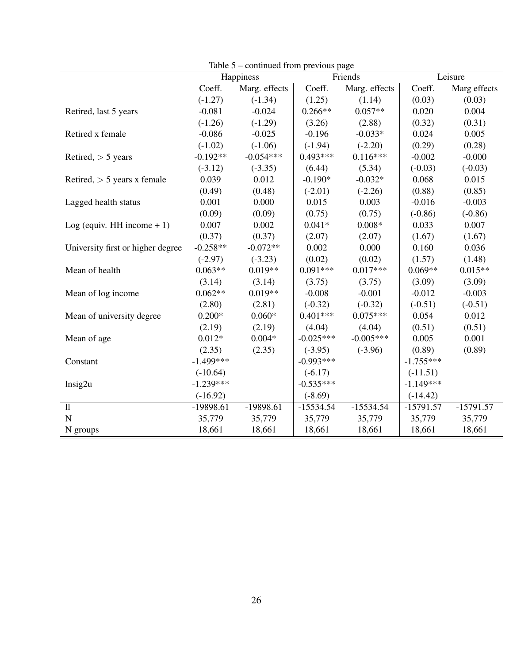| $\alpha$                          |             |               |             |               |             |              |
|-----------------------------------|-------------|---------------|-------------|---------------|-------------|--------------|
|                                   |             | Happiness     | Friends     |               | Leisure     |              |
|                                   | Coeff.      | Marg. effects | Coeff.      | Marg. effects | Coeff.      | Marg effects |
|                                   | $(-1.27)$   | $(-1.34)$     | (1.25)      | (1.14)        | (0.03)      | (0.03)       |
| Retired, last 5 years             | $-0.081$    | $-0.024$      | $0.266**$   | $0.057**$     | 0.020       | 0.004        |
|                                   | $(-1.26)$   | $(-1.29)$     | (3.26)      | (2.88)        | (0.32)      | (0.31)       |
| Retired x female                  | $-0.086$    | $-0.025$      | $-0.196$    | $-0.033*$     | 0.024       | 0.005        |
|                                   | $(-1.02)$   | $(-1.06)$     | $(-1.94)$   | $(-2.20)$     | (0.29)      | (0.28)       |
| Retired, $>$ 5 years              | $-0.192**$  | $-0.054***$   | $0.493***$  | $0.116***$    | $-0.002$    | $-0.000$     |
|                                   | $(-3.12)$   | $(-3.35)$     | (6.44)      | (5.34)        | $(-0.03)$   | $(-0.03)$    |
| Retired, $> 5$ years x female     | 0.039       | 0.012         | $-0.190*$   | $-0.032*$     | 0.068       | 0.015        |
|                                   | (0.49)      | (0.48)        | $(-2.01)$   | $(-2.26)$     | (0.88)      | (0.85)       |
| Lagged health status              | 0.001       | 0.000         | 0.015       | 0.003         | $-0.016$    | $-0.003$     |
|                                   | (0.09)      | (0.09)        | (0.75)      | (0.75)        | $(-0.86)$   | $(-0.86)$    |
| Log (equiv. HH income $+1$ )      | 0.007       | 0.002         | $0.041*$    | $0.008*$      | 0.033       | 0.007        |
|                                   | (0.37)      | (0.37)        | (2.07)      | (2.07)        | (1.67)      | (1.67)       |
| University first or higher degree | $-0.258**$  | $-0.072**$    | 0.002       | 0.000         | 0.160       | 0.036        |
|                                   | $(-2.97)$   | $(-3.23)$     | (0.02)      | (0.02)        | (1.57)      | (1.48)       |
| Mean of health                    | $0.063**$   | $0.019**$     | $0.091***$  | $0.017***$    | $0.069**$   | $0.015**$    |
|                                   | (3.14)      | (3.14)        | (3.75)      | (3.75)        | (3.09)      | (3.09)       |
| Mean of log income                | $0.062**$   | $0.019**$     | $-0.008$    | $-0.001$      | $-0.012$    | $-0.003$     |
|                                   | (2.80)      | (2.81)        | $(-0.32)$   | $(-0.32)$     | $(-0.51)$   | $(-0.51)$    |
| Mean of university degree         | $0.200*$    | $0.060*$      | $0.401***$  | $0.075***$    | 0.054       | 0.012        |
|                                   | (2.19)      | (2.19)        | (4.04)      | (4.04)        | (0.51)      | (0.51)       |
| Mean of age                       | $0.012*$    | $0.004*$      | $-0.025***$ | $-0.005***$   | 0.005       | 0.001        |
|                                   | (2.35)      | (2.35)        | $(-3.95)$   | $(-3.96)$     | (0.89)      | (0.89)       |
| Constant                          | $-1.499***$ |               | $-0.993***$ |               | $-1.755***$ |              |
|                                   | $(-10.64)$  |               | $(-6.17)$   |               | $(-11.51)$  |              |
| $\ln$ sig2u                       | $-1.239***$ |               | $-0.535***$ |               | $-1.149***$ |              |
|                                   | $(-16.92)$  |               | $(-8.69)$   |               | $(-14.42)$  |              |
| 11                                | $-19898.61$ | $-19898.61$   | $-15534.54$ | $-15534.54$   | $-15791.57$ | $-15791.57$  |
| $\mathbf N$                       | 35,779      | 35,779        | 35,779      | 35,779        | 35,779      | 35,779       |
| N groups                          | 18,661      | 18,661        | 18,661      | 18,661        | 18,661      | 18,661       |

Table 5 – continued from previous page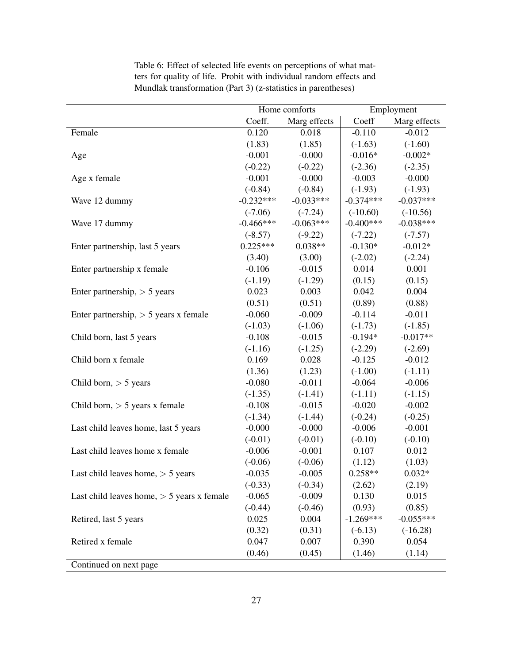|                                              |             | Home comforts | Employment  |              |  |
|----------------------------------------------|-------------|---------------|-------------|--------------|--|
|                                              | Coeff.      | Marg effects  | Coeff       | Marg effects |  |
| Female                                       | 0.120       | 0.018         | $-0.110$    | $-0.012$     |  |
|                                              | (1.83)      | (1.85)        | $(-1.63)$   | $(-1.60)$    |  |
| Age                                          | $-0.001$    | $-0.000$      | $-0.016*$   | $-0.002*$    |  |
|                                              | $(-0.22)$   | $(-0.22)$     | $(-2.36)$   | $(-2.35)$    |  |
| Age x female                                 | $-0.001$    | $-0.000$      | $-0.003$    | $-0.000$     |  |
|                                              | $(-0.84)$   | $(-0.84)$     | $(-1.93)$   | $(-1.93)$    |  |
| Wave 12 dummy                                | $-0.232***$ | $-0.033***$   | $-0.374***$ | $-0.037***$  |  |
|                                              | $(-7.06)$   | $(-7.24)$     | $(-10.60)$  | $(-10.56)$   |  |
| Wave 17 dummy                                | $-0.466***$ | $-0.063***$   | $-0.400***$ | $-0.038***$  |  |
|                                              | $(-8.57)$   | $(-9.22)$     | $(-7.22)$   | $(-7.57)$    |  |
| Enter partnership, last 5 years              | $0.225***$  | $0.038**$     | $-0.130*$   | $-0.012*$    |  |
|                                              | (3.40)      | (3.00)        | $(-2.02)$   | $(-2.24)$    |  |
| Enter partnership x female                   | $-0.106$    | $-0.015$      | 0.014       | 0.001        |  |
|                                              | $(-1.19)$   | $(-1.29)$     | (0.15)      | (0.15)       |  |
| Enter partnership, $> 5$ years               | 0.023       | 0.003         | 0.042       | 0.004        |  |
|                                              | (0.51)      | (0.51)        | (0.89)      | (0.88)       |  |
| Enter partnership, $> 5$ years x female      | $-0.060$    | $-0.009$      | $-0.114$    | $-0.011$     |  |
|                                              | $(-1.03)$   | $(-1.06)$     | $(-1.73)$   | $(-1.85)$    |  |
| Child born, last 5 years                     | $-0.108$    | $-0.015$      | $-0.194*$   | $-0.017**$   |  |
|                                              | $(-1.16)$   | $(-1.25)$     | $(-2.29)$   | $(-2.69)$    |  |
| Child born x female                          | 0.169       | 0.028         | $-0.125$    | $-0.012$     |  |
|                                              | (1.36)      | (1.23)        | $(-1.00)$   | $(-1.11)$    |  |
| Child born, $> 5$ years                      | $-0.080$    | $-0.011$      | $-0.064$    | $-0.006$     |  |
|                                              | $(-1.35)$   | $(-1.41)$     | $(-1.11)$   | $(-1.15)$    |  |
| Child born, $> 5$ years x female             | $-0.108$    | $-0.015$      | $-0.020$    | $-0.002$     |  |
|                                              | $(-1.34)$   | $(-1.44)$     | $(-0.24)$   | $(-0.25)$    |  |
| Last child leaves home, last 5 years         | $-0.000$    | $-0.000$      | $-0.006$    | $-0.001$     |  |
|                                              | $(-0.01)$   | $(-0.01)$     | $(-0.10)$   | $(-0.10)$    |  |
| Last child leaves home x female              | $-0.006$    | $-0.001$      | 0.107       | 0.012        |  |
|                                              | $(-0.06)$   | $(-0.06)$     | (1.12)      | (1.03)       |  |
| Last child leaves home, $> 5$ years          | $-0.035$    | $-0.005$      | $0.258**$   | $0.032*$     |  |
|                                              | $(-0.33)$   | $(-0.34)$     | (2.62)      | (2.19)       |  |
| Last child leaves home, $> 5$ years x female | $-0.065$    | $-0.009$      | 0.130       | 0.015        |  |
|                                              | $(-0.44)$   | $(-0.46)$     | (0.93)      | (0.85)       |  |
| Retired, last 5 years                        | 0.025       | 0.004         | $-1.269***$ | $-0.055***$  |  |
|                                              | (0.32)      | (0.31)        | $(-6.13)$   | $(-16.28)$   |  |
| Retired x female                             | 0.047       | 0.007         | 0.390       | 0.054        |  |
|                                              | (0.46)      | (0.45)        | (1.46)      | (1.14)       |  |
| Continued on next page                       |             |               |             |              |  |

Table 6: Effect of selected life events on perceptions of what matters for quality of life. Probit with individual random effects and Mundlak transformation (Part 3) (z-statistics in parentheses)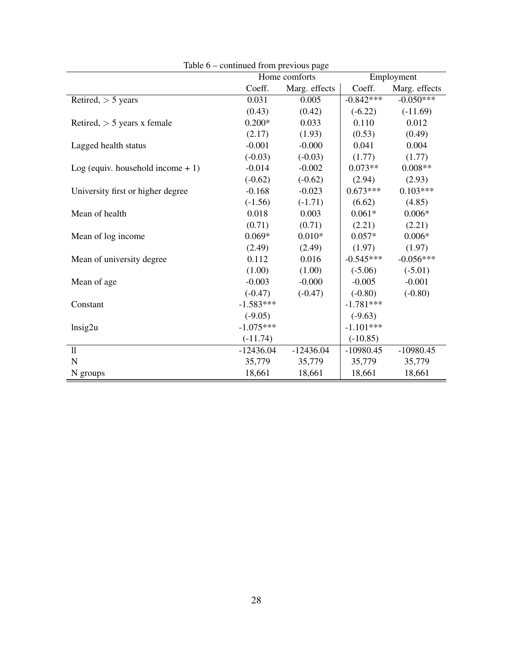|                                     | rable $0 -$ continued from previous page | Home comforts | Employment  |               |  |
|-------------------------------------|------------------------------------------|---------------|-------------|---------------|--|
|                                     | Coeff.                                   | Marg. effects | Coeff.      | Marg. effects |  |
| Retired, $>$ 5 years                | 0.031                                    | 0.005         | $-0.842***$ | $-0.050***$   |  |
|                                     | (0.43)                                   | (0.42)        | $(-6.22)$   | $(-11.69)$    |  |
| Retired, $> 5$ years x female       | $0.200*$                                 | 0.033         | 0.110       | 0.012         |  |
|                                     | (2.17)                                   | (1.93)        | (0.53)      | (0.49)        |  |
| Lagged health status                | $-0.001$                                 | $-0.000$      | 0.041       | 0.004         |  |
|                                     | $(-0.03)$                                | $(-0.03)$     | (1.77)      | (1.77)        |  |
| Log (equiv. household income $+1$ ) | $-0.014$                                 | $-0.002$      | $0.073**$   | $0.008**$     |  |
|                                     | $(-0.62)$                                | $(-0.62)$     | (2.94)      | (2.93)        |  |
| University first or higher degree   | $-0.168$                                 | $-0.023$      | $0.673***$  | $0.103***$    |  |
|                                     | $(-1.56)$                                | $(-1.71)$     | (6.62)      | (4.85)        |  |
| Mean of health                      | 0.018                                    | 0.003         | $0.061*$    | $0.006*$      |  |
|                                     | (0.71)                                   | (0.71)        | (2.21)      | (2.21)        |  |
| Mean of log income                  | $0.069*$                                 | $0.010*$      | $0.057*$    | $0.006*$      |  |
|                                     | (2.49)                                   | (2.49)        | (1.97)      | (1.97)        |  |
| Mean of university degree           | 0.112                                    | 0.016         | $-0.545***$ | $-0.056***$   |  |
|                                     | (1.00)                                   | (1.00)        | $(-5.06)$   | $(-5.01)$     |  |
| Mean of age                         | $-0.003$                                 | $-0.000$      | $-0.005$    | $-0.001$      |  |
|                                     | $(-0.47)$                                | $(-0.47)$     | $(-0.80)$   | $(-0.80)$     |  |
| Constant                            | $-1.583***$                              |               | $-1.781***$ |               |  |
|                                     | $(-9.05)$                                |               | $(-9.63)$   |               |  |
| Insig2u                             | $-1.075***$                              |               | $-1.101***$ |               |  |
|                                     | $(-11.74)$                               |               | $(-10.85)$  |               |  |
| 11                                  | $-12436.04$                              | $-12436.04$   | $-10980.45$ | $-10980.45$   |  |
| $\mathbf N$                         | 35,779                                   | 35,779        | 35,779      | 35,779        |  |
| N groups                            | 18,661                                   | 18,661        | 18,661      | 18,661        |  |

Table 6 – continued from previous page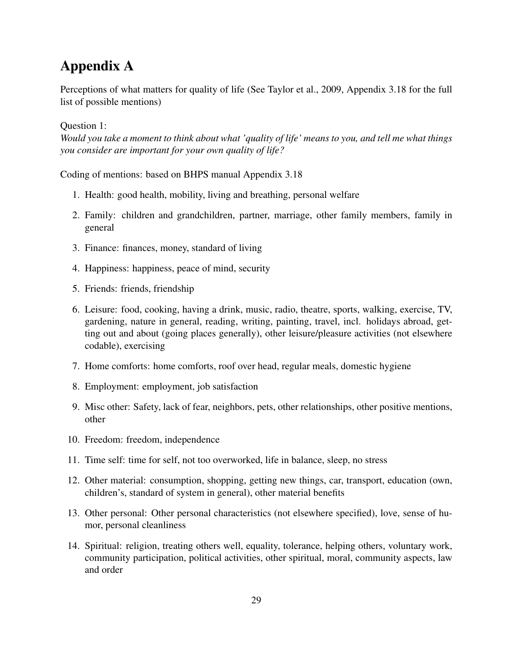## Appendix A

Perceptions of what matters for quality of life (See Taylor et al., 2009, Appendix 3.18 for the full list of possible mentions)

#### Question 1:

*Would you take a moment to think about what 'quality of life' means to you, and tell me what things you consider are important for your own quality of life?*

Coding of mentions: based on BHPS manual Appendix 3.18

- 1. Health: good health, mobility, living and breathing, personal welfare
- 2. Family: children and grandchildren, partner, marriage, other family members, family in general
- 3. Finance: finances, money, standard of living
- 4. Happiness: happiness, peace of mind, security
- 5. Friends: friends, friendship
- 6. Leisure: food, cooking, having a drink, music, radio, theatre, sports, walking, exercise, TV, gardening, nature in general, reading, writing, painting, travel, incl. holidays abroad, getting out and about (going places generally), other leisure/pleasure activities (not elsewhere codable), exercising
- 7. Home comforts: home comforts, roof over head, regular meals, domestic hygiene
- 8. Employment: employment, job satisfaction
- 9. Misc other: Safety, lack of fear, neighbors, pets, other relationships, other positive mentions, other
- 10. Freedom: freedom, independence
- 11. Time self: time for self, not too overworked, life in balance, sleep, no stress
- 12. Other material: consumption, shopping, getting new things, car, transport, education (own, children's, standard of system in general), other material benefits
- 13. Other personal: Other personal characteristics (not elsewhere specified), love, sense of humor, personal cleanliness
- 14. Spiritual: religion, treating others well, equality, tolerance, helping others, voluntary work, community participation, political activities, other spiritual, moral, community aspects, law and order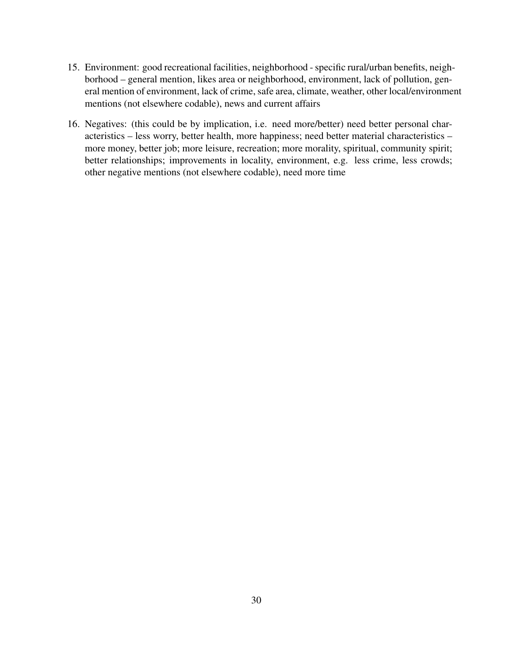- 15. Environment: good recreational facilities, neighborhood specific rural/urban benefits, neighborhood – general mention, likes area or neighborhood, environment, lack of pollution, general mention of environment, lack of crime, safe area, climate, weather, other local/environment mentions (not elsewhere codable), news and current affairs
- 16. Negatives: (this could be by implication, i.e. need more/better) need better personal characteristics – less worry, better health, more happiness; need better material characteristics – more money, better job; more leisure, recreation; more morality, spiritual, community spirit; better relationships; improvements in locality, environment, e.g. less crime, less crowds; other negative mentions (not elsewhere codable), need more time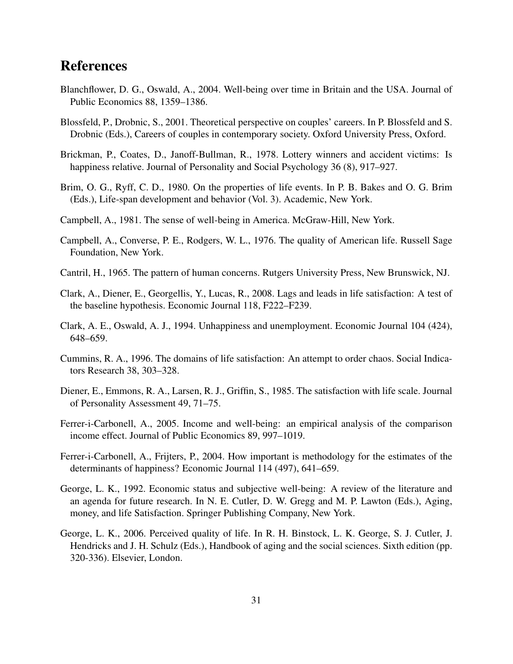## References

- Blanchflower, D. G., Oswald, A., 2004. Well-being over time in Britain and the USA. Journal of Public Economics 88, 1359–1386.
- Blossfeld, P., Drobnic, S., 2001. Theoretical perspective on couples' careers. In P. Blossfeld and S. Drobnic (Eds.), Careers of couples in contemporary society. Oxford University Press, Oxford.
- Brickman, P., Coates, D., Janoff-Bullman, R., 1978. Lottery winners and accident victims: Is happiness relative. Journal of Personality and Social Psychology 36 (8), 917–927.
- Brim, O. G., Ryff, C. D., 1980. On the properties of life events. In P. B. Bakes and O. G. Brim (Eds.), Life-span development and behavior (Vol. 3). Academic, New York.
- Campbell, A., 1981. The sense of well-being in America. McGraw-Hill, New York.
- Campbell, A., Converse, P. E., Rodgers, W. L., 1976. The quality of American life. Russell Sage Foundation, New York.
- Cantril, H., 1965. The pattern of human concerns. Rutgers University Press, New Brunswick, NJ.
- Clark, A., Diener, E., Georgellis, Y., Lucas, R., 2008. Lags and leads in life satisfaction: A test of the baseline hypothesis. Economic Journal 118, F222–F239.
- Clark, A. E., Oswald, A. J., 1994. Unhappiness and unemployment. Economic Journal 104 (424), 648–659.
- Cummins, R. A., 1996. The domains of life satisfaction: An attempt to order chaos. Social Indicators Research 38, 303–328.
- Diener, E., Emmons, R. A., Larsen, R. J., Griffin, S., 1985. The satisfaction with life scale. Journal of Personality Assessment 49, 71–75.
- Ferrer-i-Carbonell, A., 2005. Income and well-being: an empirical analysis of the comparison income effect. Journal of Public Economics 89, 997–1019.
- Ferrer-i-Carbonell, A., Frijters, P., 2004. How important is methodology for the estimates of the determinants of happiness? Economic Journal 114 (497), 641–659.
- George, L. K., 1992. Economic status and subjective well-being: A review of the literature and an agenda for future research. In N. E. Cutler, D. W. Gregg and M. P. Lawton (Eds.), Aging, money, and life Satisfaction. Springer Publishing Company, New York.
- George, L. K., 2006. Perceived quality of life. In R. H. Binstock, L. K. George, S. J. Cutler, J. Hendricks and J. H. Schulz (Eds.), Handbook of aging and the social sciences. Sixth edition (pp. 320-336). Elsevier, London.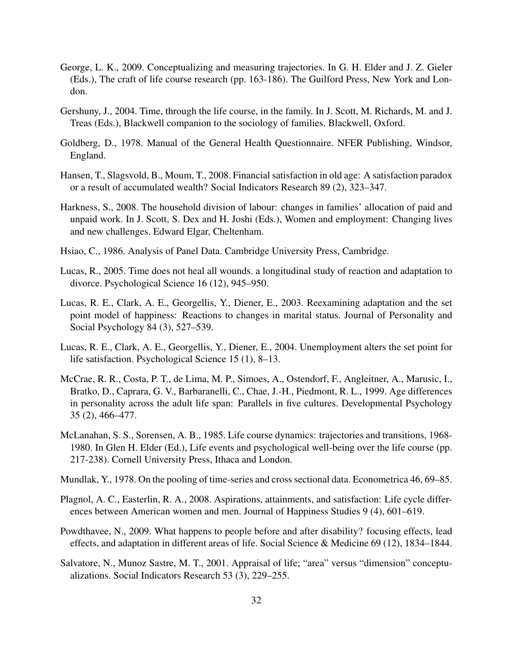- George, L. K., 2009. Conceptualizing and measuring trajectories. In G. H. Elder and J. Z. Gieler (Eds.), The craft of life course research (pp. 163-186). The Guilford Press, New York and London.
- Gershuny, J., 2004. Time, through the life course, in the family. In J. Scott, M. Richards, M. and J. Treas (Eds.), Blackwell companion to the sociology of families. Blackwell, Oxford.
- Goldberg, D., 1978. Manual of the General Health Questionnaire. NFER Publishing, Windsor, England.
- Hansen, T., Slagsvold, B., Moum, T., 2008. Financial satisfaction in old age: A satisfaction paradox or a result of accumulated wealth? Social Indicators Research 89 (2), 323–347.
- Harkness, S., 2008. The household division of labour: changes in families' allocation of paid and unpaid work. In J. Scott, S. Dex and H. Joshi (Eds.), Women and employment: Changing lives and new challenges. Edward Elgar, Cheltenham.
- Hsiao, C., 1986. Analysis of Panel Data. Cambridge University Press, Cambridge.
- Lucas, R., 2005. Time does not heal all wounds. a longitudinal study of reaction and adaptation to divorce. Psychological Science 16 (12), 945–950.
- Lucas, R. E., Clark, A. E., Georgellis, Y., Diener, E., 2003. Reexamining adaptation and the set point model of happiness: Reactions to changes in marital status. Journal of Personality and Social Psychology 84 (3), 527–539.
- Lucas, R. E., Clark, A. E., Georgellis, Y., Diener, E., 2004. Unemployment alters the set point for life satisfaction. Psychological Science 15 (1), 8–13.
- McCrae, R. R., Costa, P. T., de Lima, M. P., Simoes, A., Ostendorf, F., Angleitner, A., Marusic, I., Bratko, D., Caprara, G. V., Barbaranelli, C., Chae, J.-H., Piedmont, R. L., 1999. Age differences in personality across the adult life span: Parallels in five cultures. Developmental Psychology 35 (2), 466–477.
- McLanahan, S. S., Sorensen, A. B., 1985. Life course dynamics: trajectories and transitions, 1968- 1980. In Glen H. Elder (Ed.), Life events and psychological well-being over the life course (pp. 217-238). Cornell University Press, Ithaca and London.
- Mundlak, Y., 1978. On the pooling of time-series and cross sectional data. Econometrica 46, 69–85.
- Plagnol, A. C., Easterlin, R. A., 2008. Aspirations, attainments, and satisfaction: Life cycle differences between American women and men. Journal of Happiness Studies 9 (4), 601–619.
- Powdthavee, N., 2009. What happens to people before and after disability? focusing effects, lead effects, and adaptation in different areas of life. Social Science & Medicine 69 (12), 1834–1844.
- Salvatore, N., Munoz Sastre, M. T., 2001. Appraisal of life; "area" versus "dimension" conceptualizations. Social Indicators Research 53 (3), 229–255.